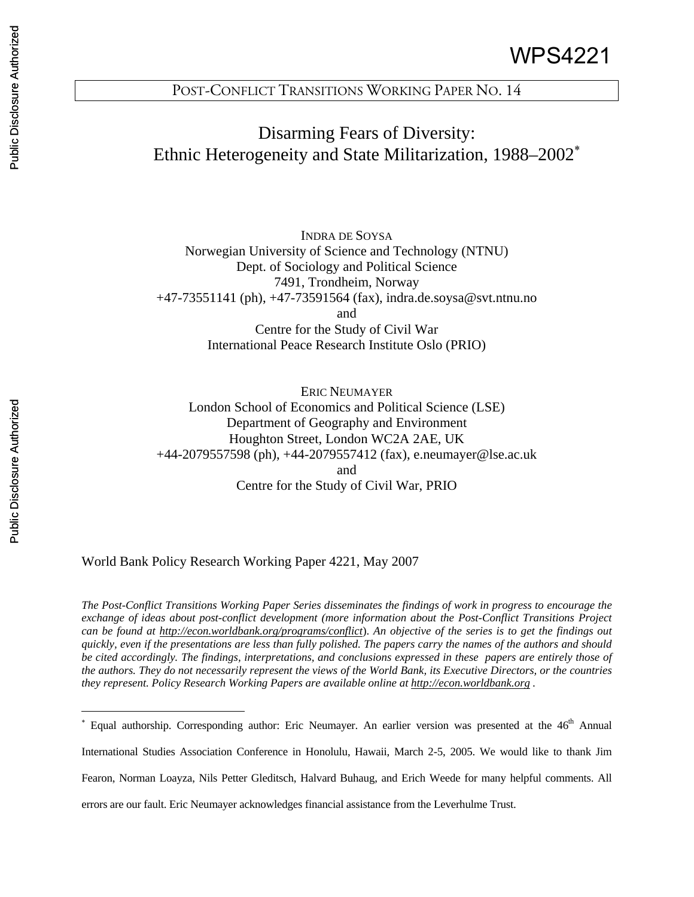# Disarming Fears of Diversity: Ethnic Heterogeneity and State Militarization, 1988–2002<sup>∗</sup>

INDRA DE SOYSA Norwegian University of Science and Technology (NTNU) Dept. of Sociology and Political Science 7491, Trondheim, Norway +47-73551141 (ph), +47-73591564 (fax), indra.de.soysa@svt.ntnu.no and Centre for the Study of Civil War International Peace Research Institute Oslo (PRIO)

ERIC NEUMAYER London School of Economics and Political Science (LSE) Department of Geography and Environment Houghton Street, London WC2A 2AE, UK +44-2079557598 (ph), +44-2079557412 (fax), e.neumayer@lse.ac.uk and Centre for the Study of Civil War, PRIO

World Bank Policy Research Working Paper 4221, May 2007

*The Post-Conflict Transitions Working Paper Series disseminates the findings of work in progress to encourage the exchange of ideas about post-conflict development (more information about the Post-Conflict Transitions Project can be found at http://econ.worldbank.org/programs/conflict*). *An objective of the series is to get the findings out quickly, even if the presentations are less than fully polished. The papers carry the names of the authors and should be cited accordingly. The findings, interpretations, and conclusions expressed in these papers are entirely those of the authors. They do not necessarily represent the views of the World Bank, its Executive Directors, or the countries they represent. Policy Research Working Papers are available online at http://econ.worldbank.org .*

International Studies Association Conference in Honolulu, Hawaii, March 2-5, 2005. We would like to thank Jim

Fearon, Norman Loayza, Nils Petter Gleditsch, Halvard Buhaug, and Erich Weede for many helpful comments. All

errors are our fault. Eric Neumayer acknowledges financial assistance from the Leverhulme Trust.

 $\overline{a}$ 

<sup>\*</sup> Equal authorship. Corresponding author: Eric Neumayer. An earlier version was presented at the 46<sup>th</sup> Annual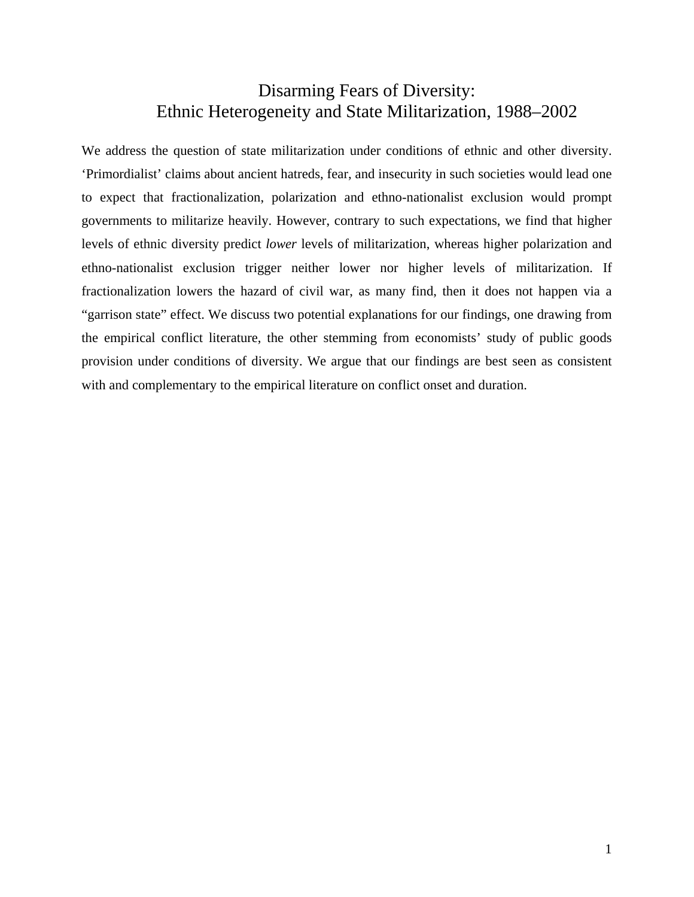## Disarming Fears of Diversity: Ethnic Heterogeneity and State Militarization, 1988–2002

We address the question of state militarization under conditions of ethnic and other diversity. 'Primordialist' claims about ancient hatreds, fear, and insecurity in such societies would lead one to expect that fractionalization, polarization and ethno-nationalist exclusion would prompt governments to militarize heavily. However, contrary to such expectations, we find that higher levels of ethnic diversity predict *lower* levels of militarization, whereas higher polarization and ethno-nationalist exclusion trigger neither lower nor higher levels of militarization. If fractionalization lowers the hazard of civil war, as many find, then it does not happen via a "garrison state" effect. We discuss two potential explanations for our findings, one drawing from the empirical conflict literature, the other stemming from economists' study of public goods provision under conditions of diversity. We argue that our findings are best seen as consistent with and complementary to the empirical literature on conflict onset and duration.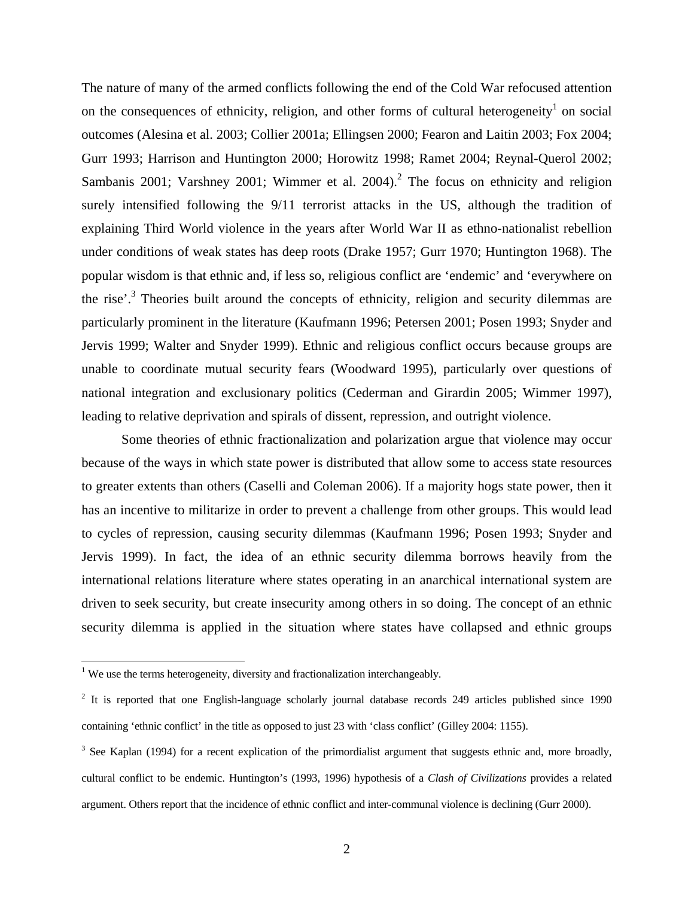The nature of many of the armed conflicts following the end of the Cold War refocused attention on the consequences of ethnicity, religion, and other forms of cultural heterogeneity<sup>1</sup> on social outcomes (Alesina et al. 2003; Collier 2001a; Ellingsen 2000; Fearon and Laitin 2003; Fox 2004; Gurr 1993; Harrison and Huntington 2000; Horowitz 1998; Ramet 2004; Reynal-Querol 2002; Sambanis 2001; Varshney 2001; Wimmer et al. 2004).<sup>2</sup> The focus on ethnicity and religion surely intensified following the 9/11 terrorist attacks in the US, although the tradition of explaining Third World violence in the years after World War II as ethno-nationalist rebellion under conditions of weak states has deep roots (Drake 1957; Gurr 1970; Huntington 1968). The popular wisdom is that ethnic and, if less so, religious conflict are 'endemic' and 'everywhere on the rise'.<sup>3</sup> Theories built around the concepts of ethnicity, religion and security dilemmas are particularly prominent in the literature (Kaufmann 1996; Petersen 2001; Posen 1993; Snyder and Jervis 1999; Walter and Snyder 1999). Ethnic and religious conflict occurs because groups are unable to coordinate mutual security fears (Woodward 1995), particularly over questions of national integration and exclusionary politics (Cederman and Girardin 2005; Wimmer 1997), leading to relative deprivation and spirals of dissent, repression, and outright violence.

Some theories of ethnic fractionalization and polarization argue that violence may occur because of the ways in which state power is distributed that allow some to access state resources to greater extents than others (Caselli and Coleman 2006). If a majority hogs state power, then it has an incentive to militarize in order to prevent a challenge from other groups. This would lead to cycles of repression, causing security dilemmas (Kaufmann 1996; Posen 1993; Snyder and Jervis 1999). In fact, the idea of an ethnic security dilemma borrows heavily from the international relations literature where states operating in an anarchical international system are driven to seek security, but create insecurity among others in so doing. The concept of an ethnic security dilemma is applied in the situation where states have collapsed and ethnic groups

<sup>&</sup>lt;sup>1</sup> We use the terms heterogeneity, diversity and fractionalization interchangeably.

 $2$  It is reported that one English-language scholarly journal database records 249 articles published since 1990 containing 'ethnic conflict' in the title as opposed to just 23 with 'class conflict' (Gilley 2004: 1155).

 $3$  See Kaplan (1994) for a recent explication of the primordialist argument that suggests ethnic and, more broadly, cultural conflict to be endemic. Huntington's (1993, 1996) hypothesis of a *Clash of Civilizations* provides a related argument. Others report that the incidence of ethnic conflict and inter-communal violence is declining (Gurr 2000).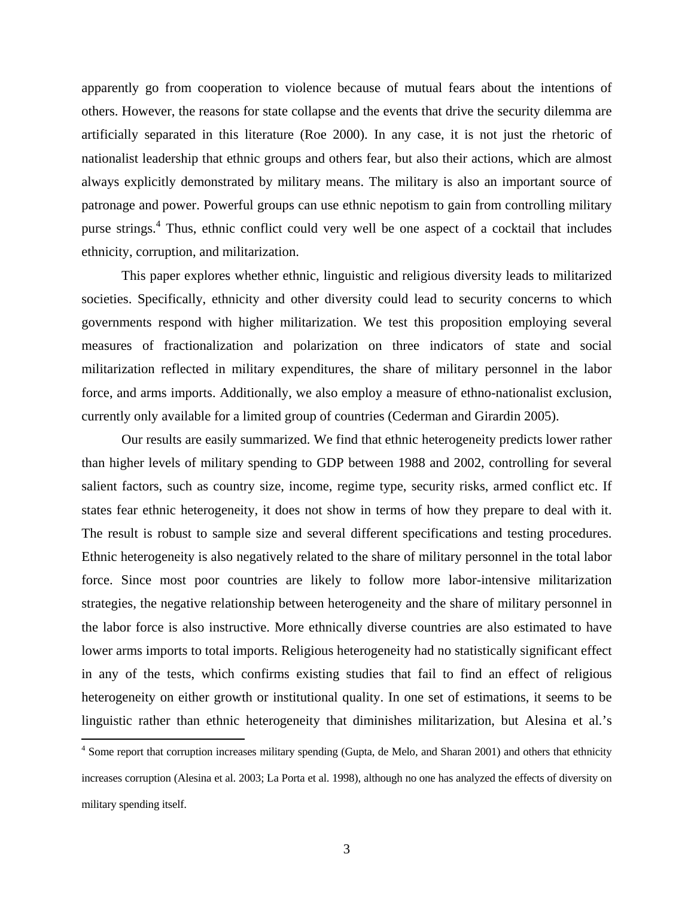apparently go from cooperation to violence because of mutual fears about the intentions of others. However, the reasons for state collapse and the events that drive the security dilemma are artificially separated in this literature (Roe 2000). In any case, it is not just the rhetoric of nationalist leadership that ethnic groups and others fear, but also their actions, which are almost always explicitly demonstrated by military means. The military is also an important source of patronage and power. Powerful groups can use ethnic nepotism to gain from controlling military purse strings.<sup>4</sup> Thus, ethnic conflict could very well be one aspect of a cocktail that includes ethnicity, corruption, and militarization.

This paper explores whether ethnic, linguistic and religious diversity leads to militarized societies. Specifically, ethnicity and other diversity could lead to security concerns to which governments respond with higher militarization. We test this proposition employing several measures of fractionalization and polarization on three indicators of state and social militarization reflected in military expenditures, the share of military personnel in the labor force, and arms imports. Additionally, we also employ a measure of ethno-nationalist exclusion, currently only available for a limited group of countries (Cederman and Girardin 2005).

Our results are easily summarized. We find that ethnic heterogeneity predicts lower rather than higher levels of military spending to GDP between 1988 and 2002, controlling for several salient factors, such as country size, income, regime type, security risks, armed conflict etc. If states fear ethnic heterogeneity, it does not show in terms of how they prepare to deal with it. The result is robust to sample size and several different specifications and testing procedures. Ethnic heterogeneity is also negatively related to the share of military personnel in the total labor force. Since most poor countries are likely to follow more labor-intensive militarization strategies, the negative relationship between heterogeneity and the share of military personnel in the labor force is also instructive. More ethnically diverse countries are also estimated to have lower arms imports to total imports. Religious heterogeneity had no statistically significant effect in any of the tests, which confirms existing studies that fail to find an effect of religious heterogeneity on either growth or institutional quality. In one set of estimations, it seems to be linguistic rather than ethnic heterogeneity that diminishes militarization, but Alesina et al.'s

 $\overline{a}$ 

 $4$  Some report that corruption increases military spending (Gupta, de Melo, and Sharan 2001) and others that ethnicity increases corruption (Alesina et al. 2003; La Porta et al. 1998), although no one has analyzed the effects of diversity on military spending itself.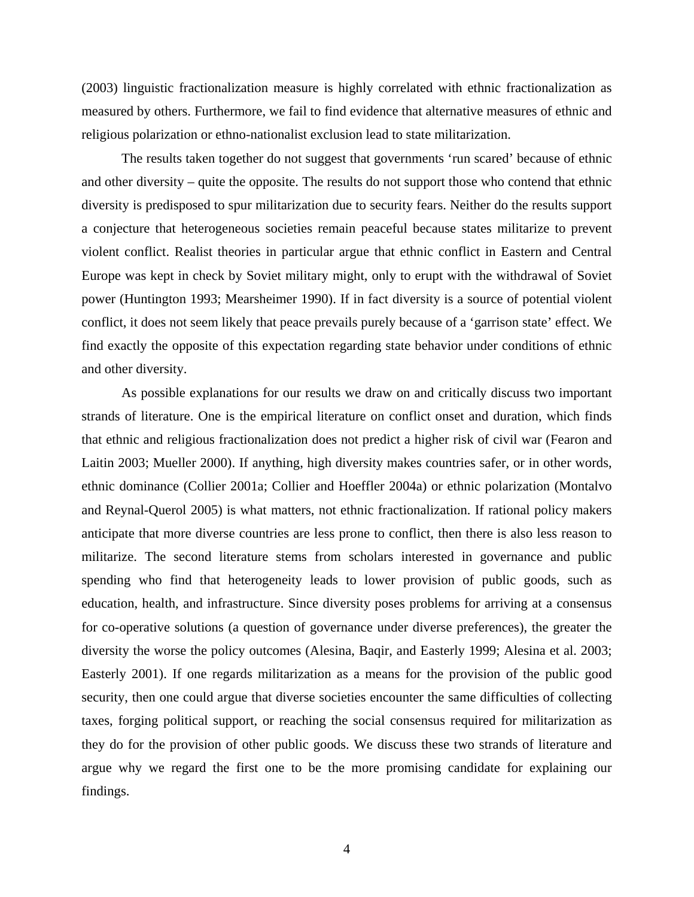(2003) linguistic fractionalization measure is highly correlated with ethnic fractionalization as measured by others. Furthermore, we fail to find evidence that alternative measures of ethnic and religious polarization or ethno-nationalist exclusion lead to state militarization.

The results taken together do not suggest that governments 'run scared' because of ethnic and other diversity – quite the opposite. The results do not support those who contend that ethnic diversity is predisposed to spur militarization due to security fears. Neither do the results support a conjecture that heterogeneous societies remain peaceful because states militarize to prevent violent conflict. Realist theories in particular argue that ethnic conflict in Eastern and Central Europe was kept in check by Soviet military might, only to erupt with the withdrawal of Soviet power (Huntington 1993; Mearsheimer 1990). If in fact diversity is a source of potential violent conflict, it does not seem likely that peace prevails purely because of a 'garrison state' effect. We find exactly the opposite of this expectation regarding state behavior under conditions of ethnic and other diversity.

As possible explanations for our results we draw on and critically discuss two important strands of literature. One is the empirical literature on conflict onset and duration, which finds that ethnic and religious fractionalization does not predict a higher risk of civil war (Fearon and Laitin 2003; Mueller 2000). If anything, high diversity makes countries safer, or in other words, ethnic dominance (Collier 2001a; Collier and Hoeffler 2004a) or ethnic polarization (Montalvo and Reynal-Querol 2005) is what matters, not ethnic fractionalization. If rational policy makers anticipate that more diverse countries are less prone to conflict, then there is also less reason to militarize. The second literature stems from scholars interested in governance and public spending who find that heterogeneity leads to lower provision of public goods, such as education, health, and infrastructure. Since diversity poses problems for arriving at a consensus for co-operative solutions (a question of governance under diverse preferences), the greater the diversity the worse the policy outcomes (Alesina, Baqir, and Easterly 1999; Alesina et al. 2003; Easterly 2001). If one regards militarization as a means for the provision of the public good security, then one could argue that diverse societies encounter the same difficulties of collecting taxes, forging political support, or reaching the social consensus required for militarization as they do for the provision of other public goods. We discuss these two strands of literature and argue why we regard the first one to be the more promising candidate for explaining our findings.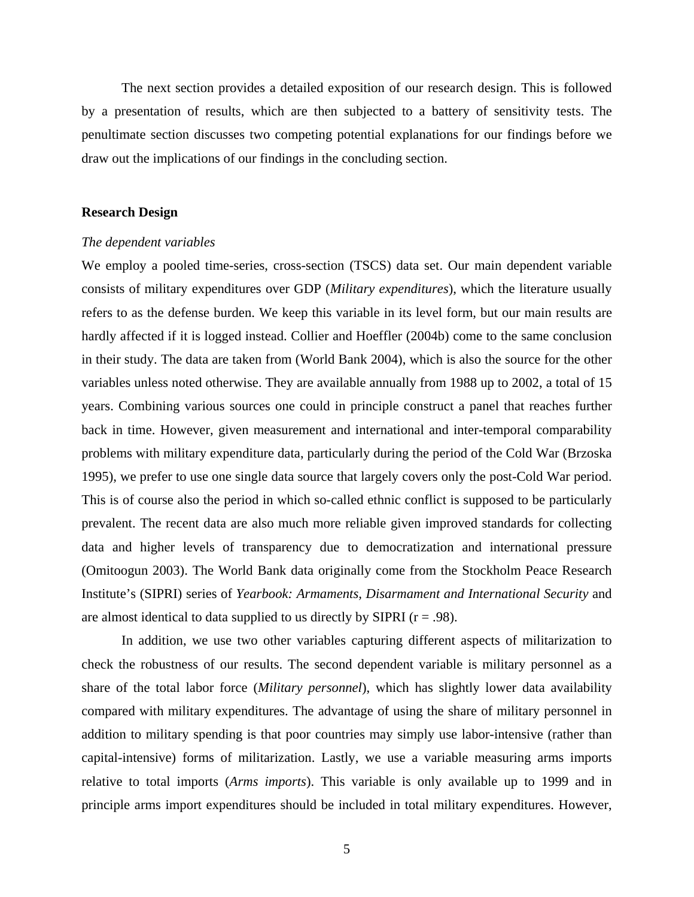The next section provides a detailed exposition of our research design. This is followed by a presentation of results, which are then subjected to a battery of sensitivity tests. The penultimate section discusses two competing potential explanations for our findings before we draw out the implications of our findings in the concluding section.

### **Research Design**

#### *The dependent variables*

We employ a pooled time-series, cross-section (TSCS) data set. Our main dependent variable consists of military expenditures over GDP (*Military expenditures*), which the literature usually refers to as the defense burden. We keep this variable in its level form, but our main results are hardly affected if it is logged instead. Collier and Hoeffler (2004b) come to the same conclusion in their study. The data are taken from (World Bank 2004), which is also the source for the other variables unless noted otherwise. They are available annually from 1988 up to 2002, a total of 15 years. Combining various sources one could in principle construct a panel that reaches further back in time. However, given measurement and international and inter-temporal comparability problems with military expenditure data, particularly during the period of the Cold War (Brzoska 1995), we prefer to use one single data source that largely covers only the post-Cold War period. This is of course also the period in which so-called ethnic conflict is supposed to be particularly prevalent. The recent data are also much more reliable given improved standards for collecting data and higher levels of transparency due to democratization and international pressure (Omitoogun 2003). The World Bank data originally come from the Stockholm Peace Research Institute's (SIPRI) series of *Yearbook: Armaments, Disarmament and International Security* and are almost identical to data supplied to us directly by SIPRI ( $r = .98$ ).

In addition, we use two other variables capturing different aspects of militarization to check the robustness of our results. The second dependent variable is military personnel as a share of the total labor force (*Military personnel*), which has slightly lower data availability compared with military expenditures. The advantage of using the share of military personnel in addition to military spending is that poor countries may simply use labor-intensive (rather than capital-intensive) forms of militarization. Lastly, we use a variable measuring arms imports relative to total imports (*Arms imports*). This variable is only available up to 1999 and in principle arms import expenditures should be included in total military expenditures. However,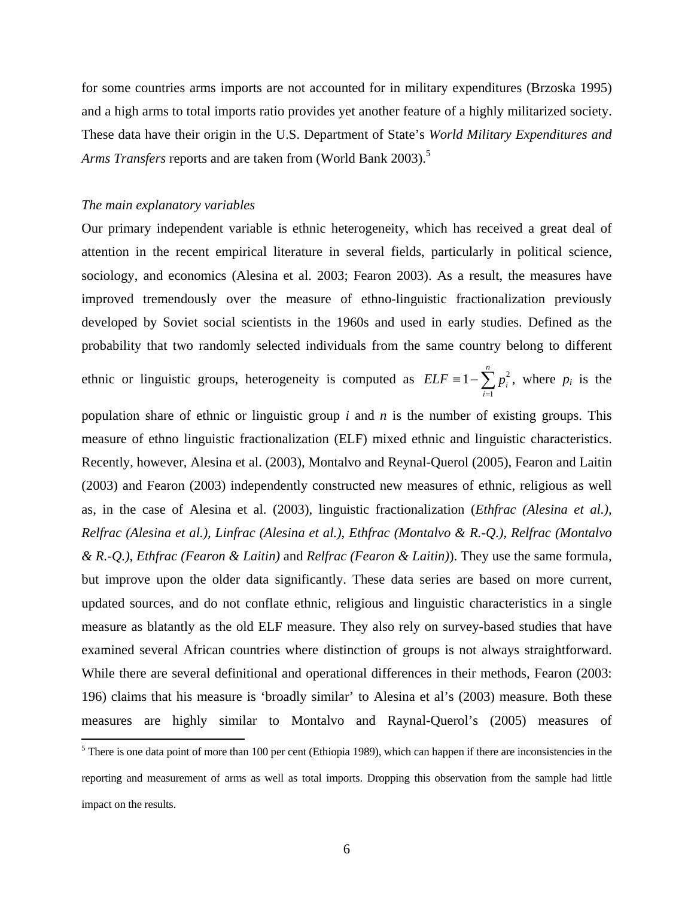for some countries arms imports are not accounted for in military expenditures (Brzoska 1995) and a high arms to total imports ratio provides yet another feature of a highly militarized society. These data have their origin in the U.S. Department of State's *World Military Expenditures and Arms Transfers* reports and are taken from (World Bank 2003).<sup>5</sup>

#### *The main explanatory variables*

Our primary independent variable is ethnic heterogeneity, which has received a great deal of attention in the recent empirical literature in several fields, particularly in political science, sociology, and economics (Alesina et al. 2003; Fearon 2003). As a result, the measures have improved tremendously over the measure of ethno-linguistic fractionalization previously developed by Soviet social scientists in the 1960s and used in early studies. Defined as the probability that two randomly selected individuals from the same country belong to different

ethnic or linguistic groups, heterogeneity is computed as  $ELF = 1 - \sum_{i=1}^{n}$ *n i*  $ELF \equiv 1 - \sum p_i^2$ 1  $1 - \sum p_i^2$ , where  $p_i$  is the

population share of ethnic or linguistic group *i* and *n* is the number of existing groups. This measure of ethno linguistic fractionalization (ELF) mixed ethnic and linguistic characteristics. Recently, however, Alesina et al. (2003), Montalvo and Reynal-Querol (2005), Fearon and Laitin (2003) and Fearon (2003) independently constructed new measures of ethnic, religious as well as, in the case of Alesina et al. (2003), linguistic fractionalization (*Ethfrac (Alesina et al.), Relfrac (Alesina et al.), Linfrac (Alesina et al.)*, *Ethfrac (Montalvo & R.-Q.)*, *Relfrac (Montalvo & R.-Q.)*, *Ethfrac (Fearon & Laitin)* and *Relfrac (Fearon & Laitin)*). They use the same formula, but improve upon the older data significantly. These data series are based on more current, updated sources, and do not conflate ethnic, religious and linguistic characteristics in a single measure as blatantly as the old ELF measure. They also rely on survey-based studies that have examined several African countries where distinction of groups is not always straightforward. While there are several definitional and operational differences in their methods, Fearon (2003: 196) claims that his measure is 'broadly similar' to Alesina et al's (2003) measure. Both these measures are highly similar to Montalvo and Raynal-Querol's (2005) measures of

<sup>&</sup>lt;sup>5</sup> There is one data point of more than 100 per cent (Ethiopia 1989), which can happen if there are inconsistencies in the reporting and measurement of arms as well as total imports. Dropping this observation from the sample had little impact on the results.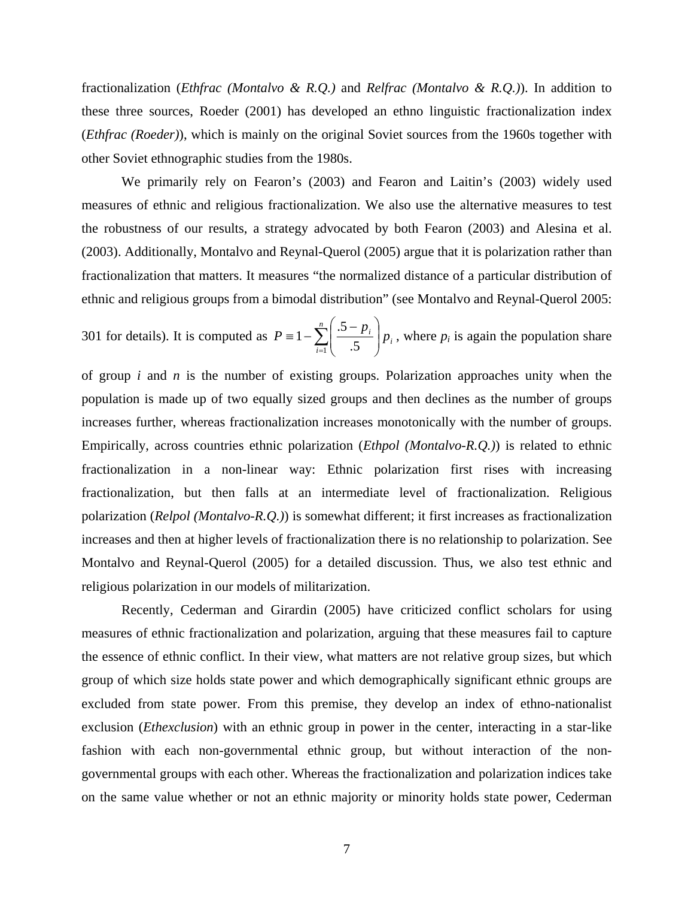fractionalization (*Ethfrac (Montalvo & R.Q.)* and *Relfrac (Montalvo & R.Q.)*). In addition to these three sources, Roeder (2001) has developed an ethno linguistic fractionalization index (*Ethfrac (Roeder)*), which is mainly on the original Soviet sources from the 1960s together with other Soviet ethnographic studies from the 1980s.

We primarily rely on Fearon's (2003) and Fearon and Laitin's (2003) widely used measures of ethnic and religious fractionalization. We also use the alternative measures to test the robustness of our results, a strategy advocated by both Fearon (2003) and Alesina et al. (2003). Additionally, Montalvo and Reynal-Querol (2005) argue that it is polarization rather than fractionalization that matters. It measures "the normalized distance of a particular distribution of ethnic and religious groups from a bimodal distribution" (see Montalvo and Reynal-Querol 2005:

301 for details). It is computed as  $P = 1 - \sum_{i=1}^{\infty} \left( \frac{3-p_i}{5} \right)$ ⎠ ⎞  $\overline{a}$  $\mathsf I$ ⎝  $\equiv 1 - \sum_{n=1}^n \left( \frac{.5 - \sum_{n=1}^n (0.5 - \bar{c})}{.5 - \sum_{n=1}^n (0.5 - \bar{c})} \right)$ *i*  $P \equiv 1 - \sum_{i=1}^{n} \left( \frac{.5 - p_i}{5} \right) p_i$  $\mathbf{I}$  .5 .5  $1 - \sum \left| \frac{p_i}{q_i} \right| p_i$ , where  $p_i$  is again the population share

of group *i* and *n* is the number of existing groups. Polarization approaches unity when the population is made up of two equally sized groups and then declines as the number of groups increases further, whereas fractionalization increases monotonically with the number of groups. Empirically, across countries ethnic polarization (*Ethpol (Montalvo-R.Q.)*) is related to ethnic fractionalization in a non-linear way: Ethnic polarization first rises with increasing fractionalization, but then falls at an intermediate level of fractionalization. Religious polarization (*Relpol (Montalvo-R.Q.)*) is somewhat different; it first increases as fractionalization increases and then at higher levels of fractionalization there is no relationship to polarization. See Montalvo and Reynal-Querol (2005) for a detailed discussion. Thus, we also test ethnic and religious polarization in our models of militarization.

Recently, Cederman and Girardin (2005) have criticized conflict scholars for using measures of ethnic fractionalization and polarization, arguing that these measures fail to capture the essence of ethnic conflict. In their view, what matters are not relative group sizes, but which group of which size holds state power and which demographically significant ethnic groups are excluded from state power. From this premise, they develop an index of ethno-nationalist exclusion (*Ethexclusion*) with an ethnic group in power in the center, interacting in a star-like fashion with each non-governmental ethnic group, but without interaction of the nongovernmental groups with each other. Whereas the fractionalization and polarization indices take on the same value whether or not an ethnic majority or minority holds state power, Cederman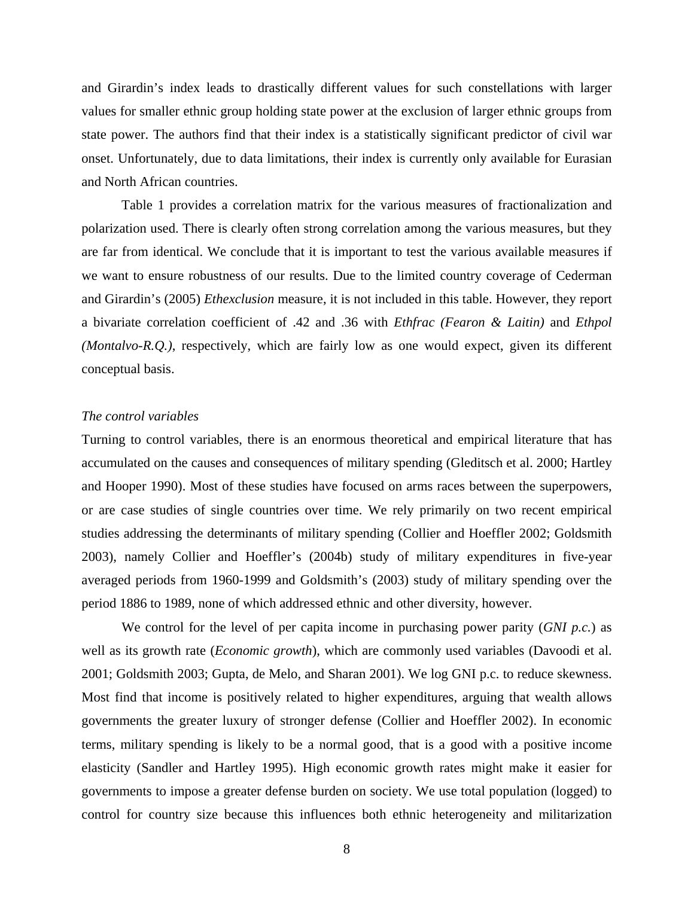and Girardin's index leads to drastically different values for such constellations with larger values for smaller ethnic group holding state power at the exclusion of larger ethnic groups from state power. The authors find that their index is a statistically significant predictor of civil war onset. Unfortunately, due to data limitations, their index is currently only available for Eurasian and North African countries.

Table 1 provides a correlation matrix for the various measures of fractionalization and polarization used. There is clearly often strong correlation among the various measures, but they are far from identical. We conclude that it is important to test the various available measures if we want to ensure robustness of our results. Due to the limited country coverage of Cederman and Girardin's (2005) *Ethexclusion* measure, it is not included in this table. However, they report a bivariate correlation coefficient of .42 and .36 with *Ethfrac (Fearon & Laitin)* and *Ethpol (Montalvo-R.Q.)*, respectively, which are fairly low as one would expect, given its different conceptual basis.

#### *The control variables*

Turning to control variables, there is an enormous theoretical and empirical literature that has accumulated on the causes and consequences of military spending (Gleditsch et al. 2000; Hartley and Hooper 1990). Most of these studies have focused on arms races between the superpowers, or are case studies of single countries over time. We rely primarily on two recent empirical studies addressing the determinants of military spending (Collier and Hoeffler 2002; Goldsmith 2003), namely Collier and Hoeffler's (2004b) study of military expenditures in five-year averaged periods from 1960-1999 and Goldsmith's (2003) study of military spending over the period 1886 to 1989, none of which addressed ethnic and other diversity, however.

We control for the level of per capita income in purchasing power parity (*GNI p.c.*) as well as its growth rate (*Economic growth*), which are commonly used variables (Davoodi et al. 2001; Goldsmith 2003; Gupta, de Melo, and Sharan 2001). We log GNI p.c. to reduce skewness. Most find that income is positively related to higher expenditures, arguing that wealth allows governments the greater luxury of stronger defense (Collier and Hoeffler 2002). In economic terms, military spending is likely to be a normal good, that is a good with a positive income elasticity (Sandler and Hartley 1995). High economic growth rates might make it easier for governments to impose a greater defense burden on society. We use total population (logged) to control for country size because this influences both ethnic heterogeneity and militarization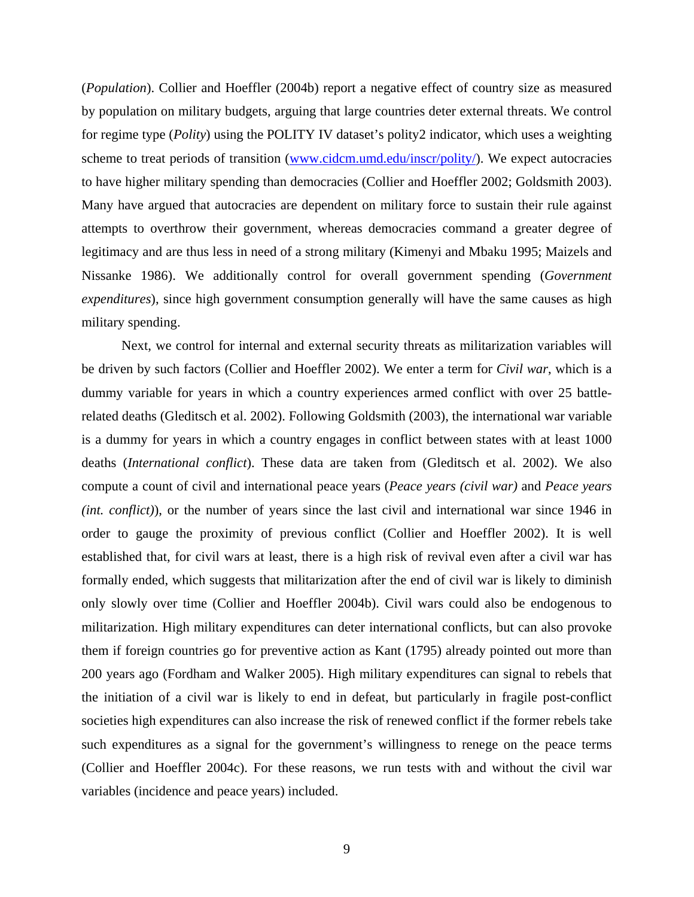(*Population*). Collier and Hoeffler (2004b) report a negative effect of country size as measured by population on military budgets, arguing that large countries deter external threats. We control for regime type (*Polity*) using the POLITY IV dataset's polity2 indicator, which uses a weighting scheme to treat periods of transition (www.cidcm.umd.edu/inscr/polity/). We expect autocracies to have higher military spending than democracies (Collier and Hoeffler 2002; Goldsmith 2003). Many have argued that autocracies are dependent on military force to sustain their rule against attempts to overthrow their government, whereas democracies command a greater degree of legitimacy and are thus less in need of a strong military (Kimenyi and Mbaku 1995; Maizels and Nissanke 1986). We additionally control for overall government spending (*Government expenditures*), since high government consumption generally will have the same causes as high military spending.

Next, we control for internal and external security threats as militarization variables will be driven by such factors (Collier and Hoeffler 2002). We enter a term for *Civil war*, which is a dummy variable for years in which a country experiences armed conflict with over 25 battlerelated deaths (Gleditsch et al. 2002). Following Goldsmith (2003), the international war variable is a dummy for years in which a country engages in conflict between states with at least 1000 deaths (*International conflict*). These data are taken from (Gleditsch et al. 2002). We also compute a count of civil and international peace years (*Peace years (civil war)* and *Peace years (int. conflict)*), or the number of years since the last civil and international war since 1946 in order to gauge the proximity of previous conflict (Collier and Hoeffler 2002). It is well established that, for civil wars at least, there is a high risk of revival even after a civil war has formally ended, which suggests that militarization after the end of civil war is likely to diminish only slowly over time (Collier and Hoeffler 2004b). Civil wars could also be endogenous to militarization. High military expenditures can deter international conflicts, but can also provoke them if foreign countries go for preventive action as Kant (1795) already pointed out more than 200 years ago (Fordham and Walker 2005). High military expenditures can signal to rebels that the initiation of a civil war is likely to end in defeat, but particularly in fragile post-conflict societies high expenditures can also increase the risk of renewed conflict if the former rebels take such expenditures as a signal for the government's willingness to renege on the peace terms (Collier and Hoeffler 2004c). For these reasons, we run tests with and without the civil war variables (incidence and peace years) included.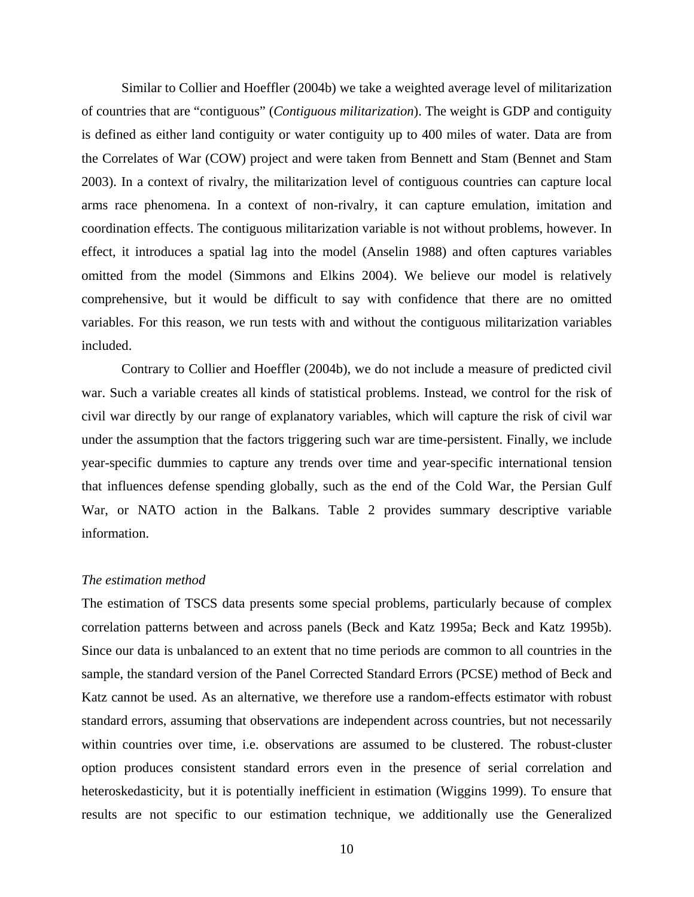Similar to Collier and Hoeffler (2004b) we take a weighted average level of militarization of countries that are "contiguous" (*Contiguous militarization*). The weight is GDP and contiguity is defined as either land contiguity or water contiguity up to 400 miles of water. Data are from the Correlates of War (COW) project and were taken from Bennett and Stam (Bennet and Stam 2003). In a context of rivalry, the militarization level of contiguous countries can capture local arms race phenomena. In a context of non-rivalry, it can capture emulation, imitation and coordination effects. The contiguous militarization variable is not without problems, however. In effect, it introduces a spatial lag into the model (Anselin 1988) and often captures variables omitted from the model (Simmons and Elkins 2004). We believe our model is relatively comprehensive, but it would be difficult to say with confidence that there are no omitted variables. For this reason, we run tests with and without the contiguous militarization variables included.

Contrary to Collier and Hoeffler (2004b), we do not include a measure of predicted civil war. Such a variable creates all kinds of statistical problems. Instead, we control for the risk of civil war directly by our range of explanatory variables, which will capture the risk of civil war under the assumption that the factors triggering such war are time-persistent. Finally, we include year-specific dummies to capture any trends over time and year-specific international tension that influences defense spending globally, such as the end of the Cold War, the Persian Gulf War, or NATO action in the Balkans. Table 2 provides summary descriptive variable information.

#### *The estimation method*

The estimation of TSCS data presents some special problems, particularly because of complex correlation patterns between and across panels (Beck and Katz 1995a; Beck and Katz 1995b). Since our data is unbalanced to an extent that no time periods are common to all countries in the sample, the standard version of the Panel Corrected Standard Errors (PCSE) method of Beck and Katz cannot be used. As an alternative, we therefore use a random-effects estimator with robust standard errors, assuming that observations are independent across countries, but not necessarily within countries over time, i.e. observations are assumed to be clustered. The robust-cluster option produces consistent standard errors even in the presence of serial correlation and heteroskedasticity, but it is potentially inefficient in estimation (Wiggins 1999). To ensure that results are not specific to our estimation technique, we additionally use the Generalized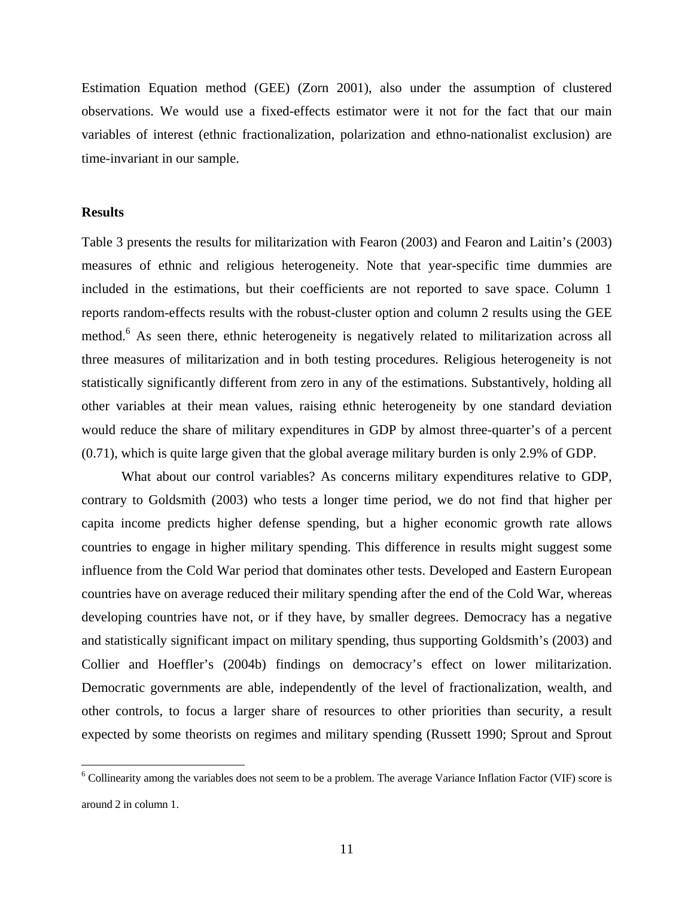Estimation Equation method (GEE) (Zorn 2001), also under the assumption of clustered observations. We would use a fixed-effects estimator were it not for the fact that our main variables of interest (ethnic fractionalization, polarization and ethno-nationalist exclusion) are time-invariant in our sample.

#### **Results**

 $\overline{a}$ 

Table 3 presents the results for militarization with Fearon (2003) and Fearon and Laitin's (2003) measures of ethnic and religious heterogeneity. Note that year-specific time dummies are included in the estimations, but their coefficients are not reported to save space. Column 1 reports random-effects results with the robust-cluster option and column 2 results using the GEE method.<sup>6</sup> As seen there, ethnic heterogeneity is negatively related to militarization across all three measures of militarization and in both testing procedures. Religious heterogeneity is not statistically significantly different from zero in any of the estimations. Substantively, holding all other variables at their mean values, raising ethnic heterogeneity by one standard deviation would reduce the share of military expenditures in GDP by almost three-quarter's of a percent (0.71), which is quite large given that the global average military burden is only 2.9% of GDP.

What about our control variables? As concerns military expenditures relative to GDP, contrary to Goldsmith (2003) who tests a longer time period, we do not find that higher per capita income predicts higher defense spending, but a higher economic growth rate allows countries to engage in higher military spending. This difference in results might suggest some influence from the Cold War period that dominates other tests. Developed and Eastern European countries have on average reduced their military spending after the end of the Cold War, whereas developing countries have not, or if they have, by smaller degrees. Democracy has a negative and statistically significant impact on military spending, thus supporting Goldsmith's (2003) and Collier and Hoeffler's (2004b) findings on democracy's effect on lower militarization. Democratic governments are able, independently of the level of fractionalization, wealth, and other controls, to focus a larger share of resources to other priorities than security, a result expected by some theorists on regimes and military spending (Russett 1990; Sprout and Sprout

<sup>&</sup>lt;sup>6</sup> Collinearity among the variables does not seem to be a problem. The average Variance Inflation Factor (VIF) score is around 2 in column 1.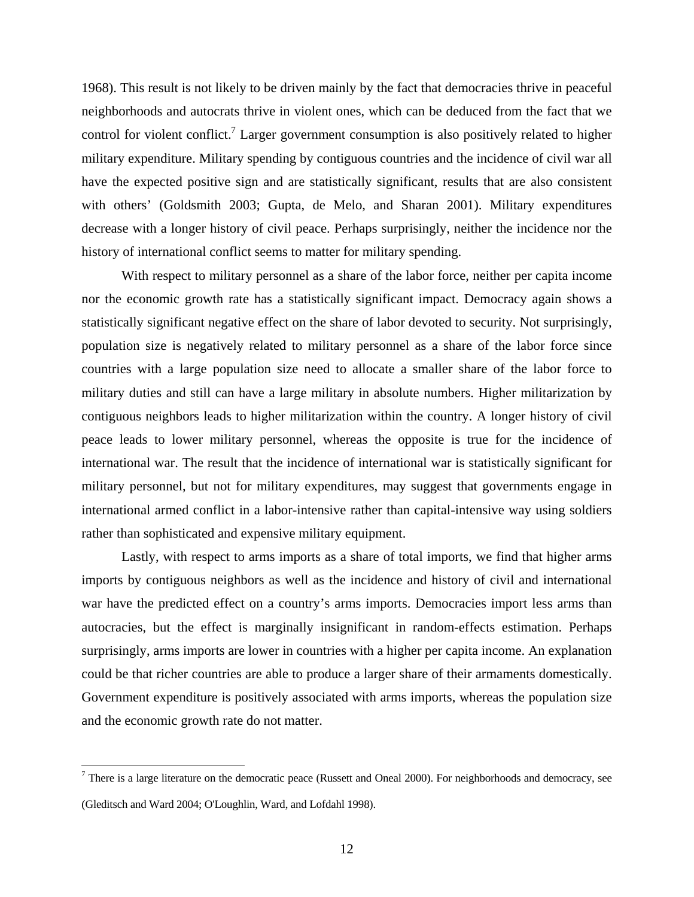1968). This result is not likely to be driven mainly by the fact that democracies thrive in peaceful neighborhoods and autocrats thrive in violent ones, which can be deduced from the fact that we control for violent conflict.<sup>7</sup> Larger government consumption is also positively related to higher military expenditure. Military spending by contiguous countries and the incidence of civil war all have the expected positive sign and are statistically significant, results that are also consistent with others' (Goldsmith 2003; Gupta, de Melo, and Sharan 2001). Military expenditures decrease with a longer history of civil peace. Perhaps surprisingly, neither the incidence nor the history of international conflict seems to matter for military spending.

With respect to military personnel as a share of the labor force, neither per capita income nor the economic growth rate has a statistically significant impact. Democracy again shows a statistically significant negative effect on the share of labor devoted to security. Not surprisingly, population size is negatively related to military personnel as a share of the labor force since countries with a large population size need to allocate a smaller share of the labor force to military duties and still can have a large military in absolute numbers. Higher militarization by contiguous neighbors leads to higher militarization within the country. A longer history of civil peace leads to lower military personnel, whereas the opposite is true for the incidence of international war. The result that the incidence of international war is statistically significant for military personnel, but not for military expenditures, may suggest that governments engage in international armed conflict in a labor-intensive rather than capital-intensive way using soldiers rather than sophisticated and expensive military equipment.

Lastly, with respect to arms imports as a share of total imports, we find that higher arms imports by contiguous neighbors as well as the incidence and history of civil and international war have the predicted effect on a country's arms imports. Democracies import less arms than autocracies, but the effect is marginally insignificant in random-effects estimation. Perhaps surprisingly, arms imports are lower in countries with a higher per capita income. An explanation could be that richer countries are able to produce a larger share of their armaments domestically. Government expenditure is positively associated with arms imports, whereas the population size and the economic growth rate do not matter.

1

<sup>&</sup>lt;sup>7</sup> There is a large literature on the democratic peace (Russett and Oneal 2000). For neighborhoods and democracy, see (Gleditsch and Ward 2004; O'Loughlin, Ward, and Lofdahl 1998).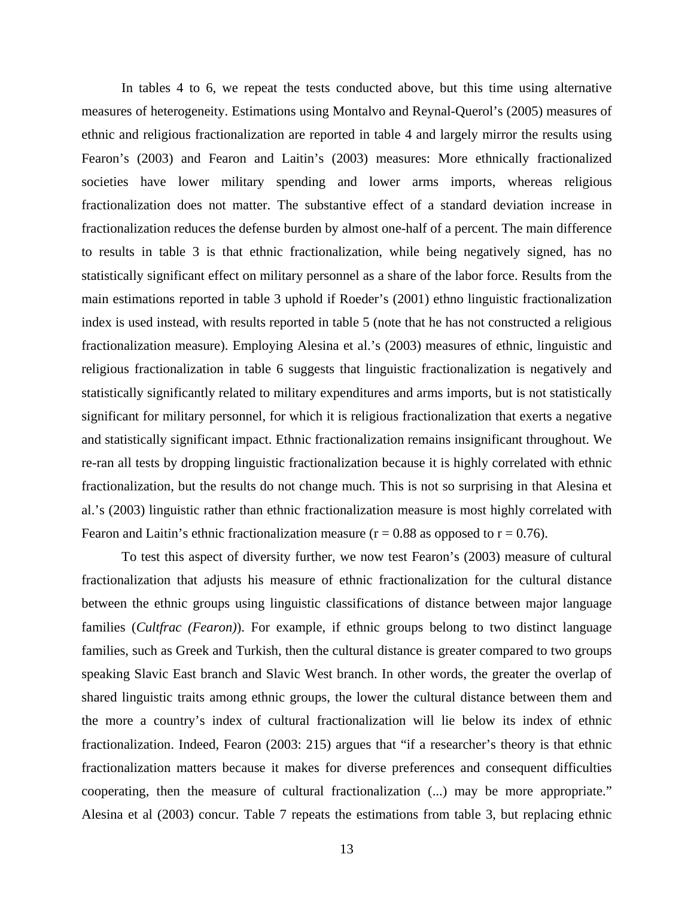In tables 4 to 6, we repeat the tests conducted above, but this time using alternative measures of heterogeneity. Estimations using Montalvo and Reynal-Querol's (2005) measures of ethnic and religious fractionalization are reported in table 4 and largely mirror the results using Fearon's (2003) and Fearon and Laitin's (2003) measures: More ethnically fractionalized societies have lower military spending and lower arms imports, whereas religious fractionalization does not matter. The substantive effect of a standard deviation increase in fractionalization reduces the defense burden by almost one-half of a percent. The main difference to results in table 3 is that ethnic fractionalization, while being negatively signed, has no statistically significant effect on military personnel as a share of the labor force. Results from the main estimations reported in table 3 uphold if Roeder's (2001) ethno linguistic fractionalization index is used instead, with results reported in table 5 (note that he has not constructed a religious fractionalization measure). Employing Alesina et al.'s (2003) measures of ethnic, linguistic and religious fractionalization in table 6 suggests that linguistic fractionalization is negatively and statistically significantly related to military expenditures and arms imports, but is not statistically significant for military personnel, for which it is religious fractionalization that exerts a negative and statistically significant impact. Ethnic fractionalization remains insignificant throughout. We re-ran all tests by dropping linguistic fractionalization because it is highly correlated with ethnic fractionalization, but the results do not change much. This is not so surprising in that Alesina et al.'s (2003) linguistic rather than ethnic fractionalization measure is most highly correlated with Fearon and Laitin's ethnic fractionalization measure ( $r = 0.88$  as opposed to  $r = 0.76$ ).

To test this aspect of diversity further, we now test Fearon's (2003) measure of cultural fractionalization that adjusts his measure of ethnic fractionalization for the cultural distance between the ethnic groups using linguistic classifications of distance between major language families (*Cultfrac (Fearon)*). For example, if ethnic groups belong to two distinct language families, such as Greek and Turkish, then the cultural distance is greater compared to two groups speaking Slavic East branch and Slavic West branch. In other words, the greater the overlap of shared linguistic traits among ethnic groups, the lower the cultural distance between them and the more a country's index of cultural fractionalization will lie below its index of ethnic fractionalization. Indeed, Fearon (2003: 215) argues that "if a researcher's theory is that ethnic fractionalization matters because it makes for diverse preferences and consequent difficulties cooperating, then the measure of cultural fractionalization (...) may be more appropriate." Alesina et al (2003) concur. Table 7 repeats the estimations from table 3, but replacing ethnic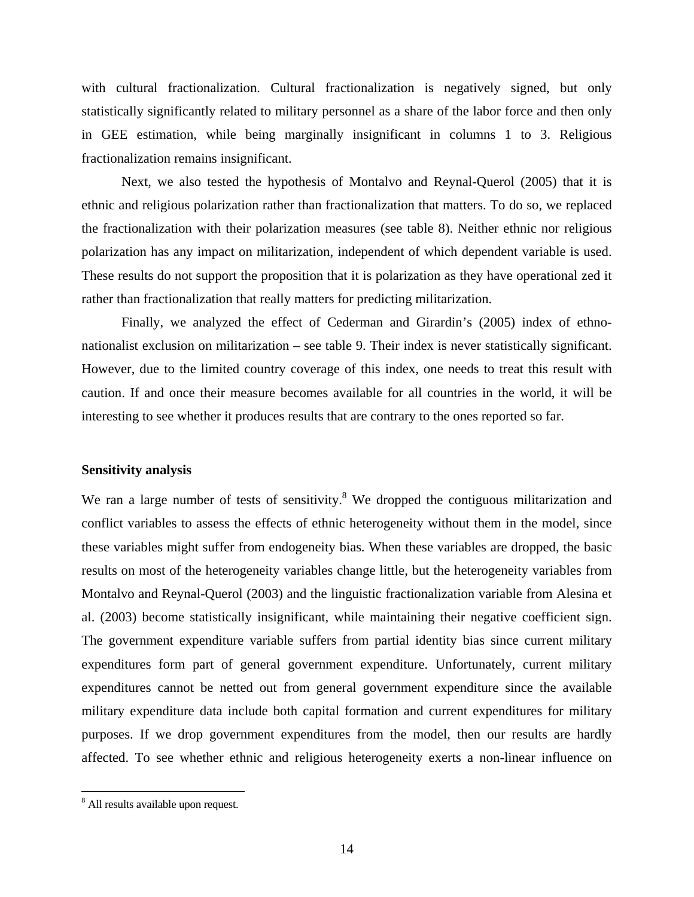with cultural fractionalization. Cultural fractionalization is negatively signed, but only statistically significantly related to military personnel as a share of the labor force and then only in GEE estimation, while being marginally insignificant in columns 1 to 3. Religious fractionalization remains insignificant.

Next, we also tested the hypothesis of Montalvo and Reynal-Querol (2005) that it is ethnic and religious polarization rather than fractionalization that matters. To do so, we replaced the fractionalization with their polarization measures (see table 8). Neither ethnic nor religious polarization has any impact on militarization, independent of which dependent variable is used. These results do not support the proposition that it is polarization as they have operational zed it rather than fractionalization that really matters for predicting militarization.

Finally, we analyzed the effect of Cederman and Girardin's (2005) index of ethnonationalist exclusion on militarization – see table 9. Their index is never statistically significant. However, due to the limited country coverage of this index, one needs to treat this result with caution. If and once their measure becomes available for all countries in the world, it will be interesting to see whether it produces results that are contrary to the ones reported so far.

#### **Sensitivity analysis**

We ran a large number of tests of sensitivity. $8$  We dropped the contiguous militarization and conflict variables to assess the effects of ethnic heterogeneity without them in the model, since these variables might suffer from endogeneity bias. When these variables are dropped, the basic results on most of the heterogeneity variables change little, but the heterogeneity variables from Montalvo and Reynal-Querol (2003) and the linguistic fractionalization variable from Alesina et al. (2003) become statistically insignificant, while maintaining their negative coefficient sign. The government expenditure variable suffers from partial identity bias since current military expenditures form part of general government expenditure. Unfortunately, current military expenditures cannot be netted out from general government expenditure since the available military expenditure data include both capital formation and current expenditures for military purposes. If we drop government expenditures from the model, then our results are hardly affected. To see whether ethnic and religious heterogeneity exerts a non-linear influence on

 $\overline{a}$ 

<sup>&</sup>lt;sup>8</sup> All results available upon request.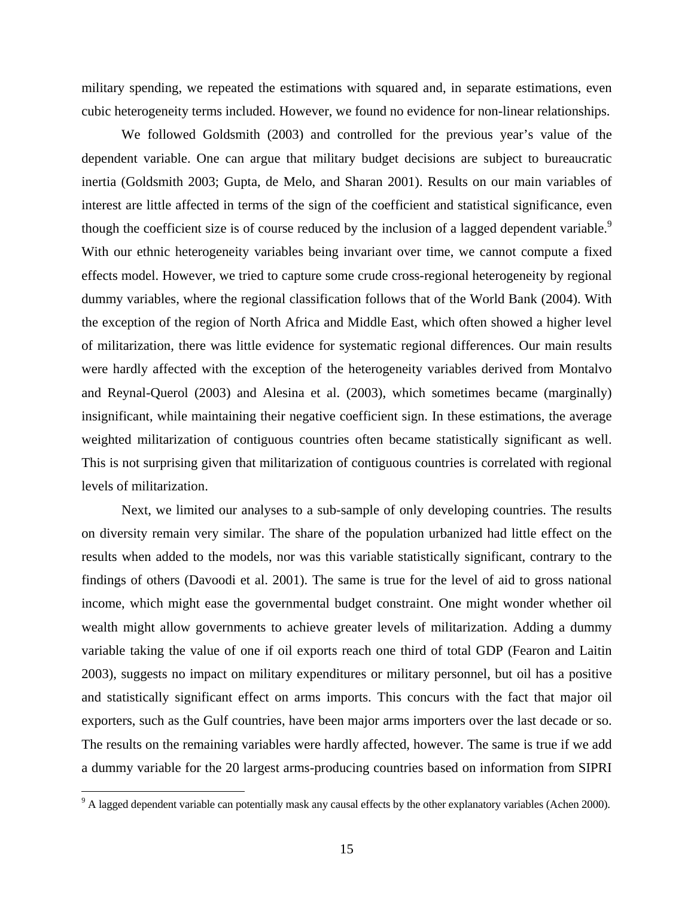military spending, we repeated the estimations with squared and, in separate estimations, even cubic heterogeneity terms included. However, we found no evidence for non-linear relationships.

We followed Goldsmith (2003) and controlled for the previous year's value of the dependent variable. One can argue that military budget decisions are subject to bureaucratic inertia (Goldsmith 2003; Gupta, de Melo, and Sharan 2001). Results on our main variables of interest are little affected in terms of the sign of the coefficient and statistical significance, even though the coefficient size is of course reduced by the inclusion of a lagged dependent variable.<sup>9</sup> With our ethnic heterogeneity variables being invariant over time, we cannot compute a fixed effects model. However, we tried to capture some crude cross-regional heterogeneity by regional dummy variables, where the regional classification follows that of the World Bank (2004). With the exception of the region of North Africa and Middle East, which often showed a higher level of militarization, there was little evidence for systematic regional differences. Our main results were hardly affected with the exception of the heterogeneity variables derived from Montalvo and Reynal-Querol (2003) and Alesina et al. (2003), which sometimes became (marginally) insignificant, while maintaining their negative coefficient sign. In these estimations, the average weighted militarization of contiguous countries often became statistically significant as well. This is not surprising given that militarization of contiguous countries is correlated with regional levels of militarization.

Next, we limited our analyses to a sub-sample of only developing countries. The results on diversity remain very similar. The share of the population urbanized had little effect on the results when added to the models, nor was this variable statistically significant, contrary to the findings of others (Davoodi et al. 2001). The same is true for the level of aid to gross national income, which might ease the governmental budget constraint. One might wonder whether oil wealth might allow governments to achieve greater levels of militarization. Adding a dummy variable taking the value of one if oil exports reach one third of total GDP (Fearon and Laitin 2003), suggests no impact on military expenditures or military personnel, but oil has a positive and statistically significant effect on arms imports. This concurs with the fact that major oil exporters, such as the Gulf countries, have been major arms importers over the last decade or so. The results on the remaining variables were hardly affected, however. The same is true if we add a dummy variable for the 20 largest arms-producing countries based on information from SIPRI

1

 $9<sup>9</sup>$  A lagged dependent variable can potentially mask any causal effects by the other explanatory variables (Achen 2000).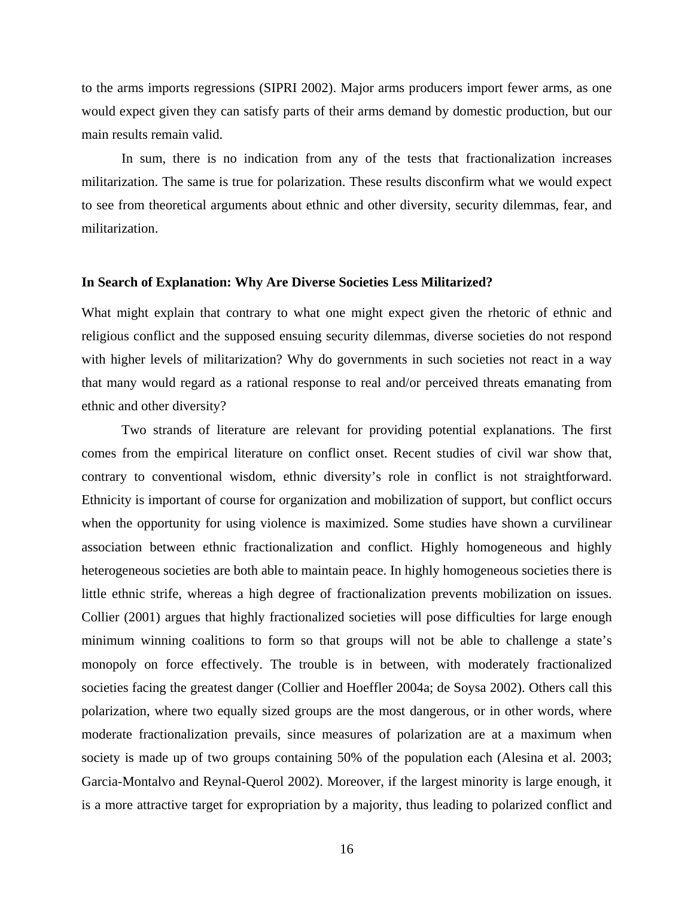to the arms imports regressions (SIPRI 2002). Major arms producers import fewer arms, as one would expect given they can satisfy parts of their arms demand by domestic production, but our main results remain valid.

In sum, there is no indication from any of the tests that fractionalization increases militarization. The same is true for polarization. These results disconfirm what we would expect to see from theoretical arguments about ethnic and other diversity, security dilemmas, fear, and militarization.

#### **In Search of Explanation: Why Are Diverse Societies Less Militarized?**

What might explain that contrary to what one might expect given the rhetoric of ethnic and religious conflict and the supposed ensuing security dilemmas, diverse societies do not respond with higher levels of militarization? Why do governments in such societies not react in a way that many would regard as a rational response to real and/or perceived threats emanating from ethnic and other diversity?

Two strands of literature are relevant for providing potential explanations. The first comes from the empirical literature on conflict onset. Recent studies of civil war show that, contrary to conventional wisdom, ethnic diversity's role in conflict is not straightforward. Ethnicity is important of course for organization and mobilization of support, but conflict occurs when the opportunity for using violence is maximized. Some studies have shown a curvilinear association between ethnic fractionalization and conflict. Highly homogeneous and highly heterogeneous societies are both able to maintain peace. In highly homogeneous societies there is little ethnic strife, whereas a high degree of fractionalization prevents mobilization on issues. Collier (2001) argues that highly fractionalized societies will pose difficulties for large enough minimum winning coalitions to form so that groups will not be able to challenge a state's monopoly on force effectively. The trouble is in between, with moderately fractionalized societies facing the greatest danger (Collier and Hoeffler 2004a; de Soysa 2002). Others call this polarization, where two equally sized groups are the most dangerous, or in other words, where moderate fractionalization prevails, since measures of polarization are at a maximum when society is made up of two groups containing 50% of the population each (Alesina et al. 2003; Garcia-Montalvo and Reynal-Querol 2002). Moreover, if the largest minority is large enough, it is a more attractive target for expropriation by a majority, thus leading to polarized conflict and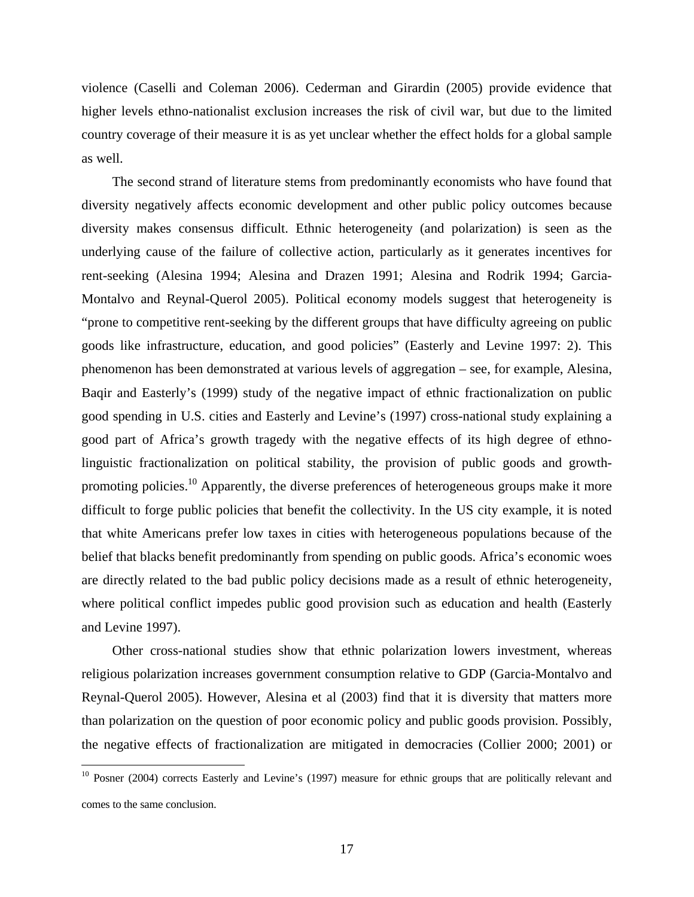violence (Caselli and Coleman 2006). Cederman and Girardin (2005) provide evidence that higher levels ethno-nationalist exclusion increases the risk of civil war, but due to the limited country coverage of their measure it is as yet unclear whether the effect holds for a global sample as well.

The second strand of literature stems from predominantly economists who have found that diversity negatively affects economic development and other public policy outcomes because diversity makes consensus difficult. Ethnic heterogeneity (and polarization) is seen as the underlying cause of the failure of collective action, particularly as it generates incentives for rent-seeking (Alesina 1994; Alesina and Drazen 1991; Alesina and Rodrik 1994; Garcia-Montalvo and Reynal-Querol 2005). Political economy models suggest that heterogeneity is "prone to competitive rent-seeking by the different groups that have difficulty agreeing on public goods like infrastructure, education, and good policies" (Easterly and Levine 1997: 2). This phenomenon has been demonstrated at various levels of aggregation – see, for example, Alesina, Baqir and Easterly's (1999) study of the negative impact of ethnic fractionalization on public good spending in U.S. cities and Easterly and Levine's (1997) cross-national study explaining a good part of Africa's growth tragedy with the negative effects of its high degree of ethnolinguistic fractionalization on political stability, the provision of public goods and growthpromoting policies.<sup>10</sup> Apparently, the diverse preferences of heterogeneous groups make it more difficult to forge public policies that benefit the collectivity. In the US city example, it is noted that white Americans prefer low taxes in cities with heterogeneous populations because of the belief that blacks benefit predominantly from spending on public goods. Africa's economic woes are directly related to the bad public policy decisions made as a result of ethnic heterogeneity, where political conflict impedes public good provision such as education and health (Easterly and Levine 1997).

Other cross-national studies show that ethnic polarization lowers investment, whereas religious polarization increases government consumption relative to GDP (Garcia-Montalvo and Reynal-Querol 2005). However, Alesina et al (2003) find that it is diversity that matters more than polarization on the question of poor economic policy and public goods provision. Possibly, the negative effects of fractionalization are mitigated in democracies (Collier 2000; 2001) or

 $\overline{a}$ 

<sup>&</sup>lt;sup>10</sup> Posner (2004) corrects Easterly and Levine's (1997) measure for ethnic groups that are politically relevant and comes to the same conclusion.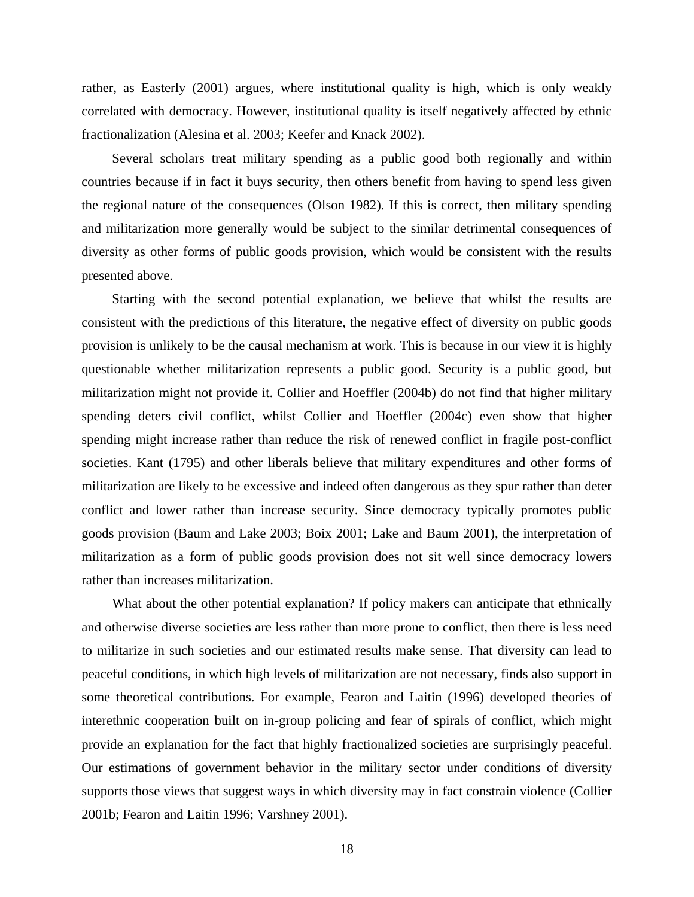rather, as Easterly (2001) argues, where institutional quality is high, which is only weakly correlated with democracy. However, institutional quality is itself negatively affected by ethnic fractionalization (Alesina et al. 2003; Keefer and Knack 2002).

Several scholars treat military spending as a public good both regionally and within countries because if in fact it buys security, then others benefit from having to spend less given the regional nature of the consequences (Olson 1982). If this is correct, then military spending and militarization more generally would be subject to the similar detrimental consequences of diversity as other forms of public goods provision, which would be consistent with the results presented above.

Starting with the second potential explanation, we believe that whilst the results are consistent with the predictions of this literature, the negative effect of diversity on public goods provision is unlikely to be the causal mechanism at work. This is because in our view it is highly questionable whether militarization represents a public good. Security is a public good, but militarization might not provide it. Collier and Hoeffler (2004b) do not find that higher military spending deters civil conflict, whilst Collier and Hoeffler (2004c) even show that higher spending might increase rather than reduce the risk of renewed conflict in fragile post-conflict societies. Kant (1795) and other liberals believe that military expenditures and other forms of militarization are likely to be excessive and indeed often dangerous as they spur rather than deter conflict and lower rather than increase security. Since democracy typically promotes public goods provision (Baum and Lake 2003; Boix 2001; Lake and Baum 2001), the interpretation of militarization as a form of public goods provision does not sit well since democracy lowers rather than increases militarization.

What about the other potential explanation? If policy makers can anticipate that ethnically and otherwise diverse societies are less rather than more prone to conflict, then there is less need to militarize in such societies and our estimated results make sense. That diversity can lead to peaceful conditions, in which high levels of militarization are not necessary, finds also support in some theoretical contributions. For example, Fearon and Laitin (1996) developed theories of interethnic cooperation built on in-group policing and fear of spirals of conflict, which might provide an explanation for the fact that highly fractionalized societies are surprisingly peaceful. Our estimations of government behavior in the military sector under conditions of diversity supports those views that suggest ways in which diversity may in fact constrain violence (Collier 2001b; Fearon and Laitin 1996; Varshney 2001).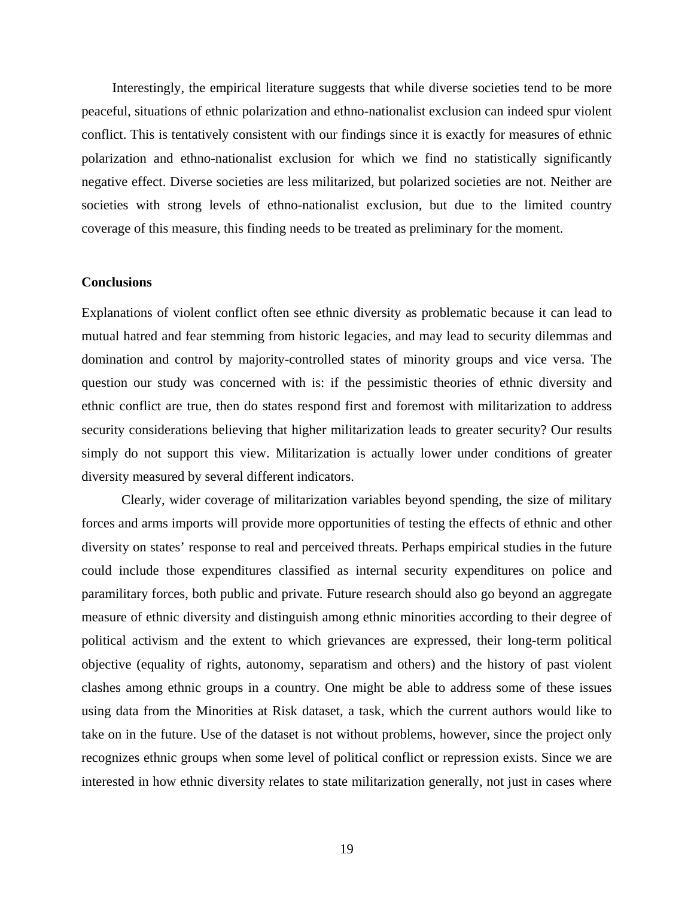Interestingly, the empirical literature suggests that while diverse societies tend to be more peaceful, situations of ethnic polarization and ethno-nationalist exclusion can indeed spur violent conflict. This is tentatively consistent with our findings since it is exactly for measures of ethnic polarization and ethno-nationalist exclusion for which we find no statistically significantly negative effect. Diverse societies are less militarized, but polarized societies are not. Neither are societies with strong levels of ethno-nationalist exclusion, but due to the limited country coverage of this measure, this finding needs to be treated as preliminary for the moment.

#### **Conclusions**

Explanations of violent conflict often see ethnic diversity as problematic because it can lead to mutual hatred and fear stemming from historic legacies, and may lead to security dilemmas and domination and control by majority-controlled states of minority groups and vice versa. The question our study was concerned with is: if the pessimistic theories of ethnic diversity and ethnic conflict are true, then do states respond first and foremost with militarization to address security considerations believing that higher militarization leads to greater security? Our results simply do not support this view. Militarization is actually lower under conditions of greater diversity measured by several different indicators.

Clearly, wider coverage of militarization variables beyond spending, the size of military forces and arms imports will provide more opportunities of testing the effects of ethnic and other diversity on states' response to real and perceived threats. Perhaps empirical studies in the future could include those expenditures classified as internal security expenditures on police and paramilitary forces, both public and private. Future research should also go beyond an aggregate measure of ethnic diversity and distinguish among ethnic minorities according to their degree of political activism and the extent to which grievances are expressed, their long-term political objective (equality of rights, autonomy, separatism and others) and the history of past violent clashes among ethnic groups in a country. One might be able to address some of these issues using data from the Minorities at Risk dataset, a task, which the current authors would like to take on in the future. Use of the dataset is not without problems, however, since the project only recognizes ethnic groups when some level of political conflict or repression exists. Since we are interested in how ethnic diversity relates to state militarization generally, not just in cases where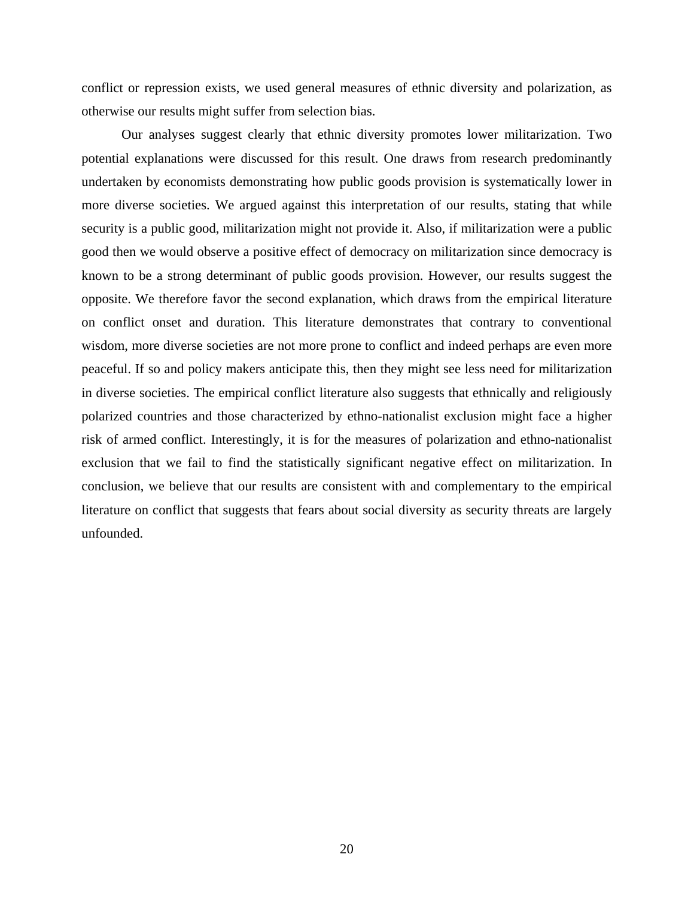conflict or repression exists, we used general measures of ethnic diversity and polarization, as otherwise our results might suffer from selection bias.

Our analyses suggest clearly that ethnic diversity promotes lower militarization. Two potential explanations were discussed for this result. One draws from research predominantly undertaken by economists demonstrating how public goods provision is systematically lower in more diverse societies. We argued against this interpretation of our results, stating that while security is a public good, militarization might not provide it. Also, if militarization were a public good then we would observe a positive effect of democracy on militarization since democracy is known to be a strong determinant of public goods provision. However, our results suggest the opposite. We therefore favor the second explanation, which draws from the empirical literature on conflict onset and duration. This literature demonstrates that contrary to conventional wisdom, more diverse societies are not more prone to conflict and indeed perhaps are even more peaceful. If so and policy makers anticipate this, then they might see less need for militarization in diverse societies. The empirical conflict literature also suggests that ethnically and religiously polarized countries and those characterized by ethno-nationalist exclusion might face a higher risk of armed conflict. Interestingly, it is for the measures of polarization and ethno-nationalist exclusion that we fail to find the statistically significant negative effect on militarization. In conclusion, we believe that our results are consistent with and complementary to the empirical literature on conflict that suggests that fears about social diversity as security threats are largely unfounded.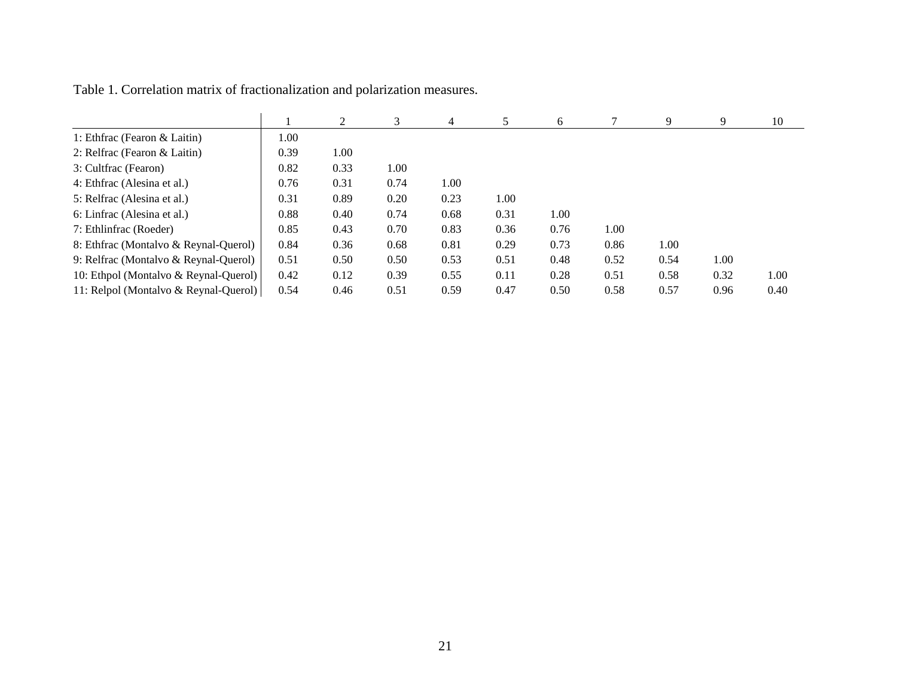|                                       |      | $\mathfrak{D}$ |      | 4    |      | 6    |      | 9    | 9    | 10   |
|---------------------------------------|------|----------------|------|------|------|------|------|------|------|------|
| 1: Ethfrac (Fearon & Laitin)          | 1.00 |                |      |      |      |      |      |      |      |      |
| 2: Relfrac (Fearon & Laitin)          | 0.39 | 1.00           |      |      |      |      |      |      |      |      |
| 3: Cultfrac (Fearon)                  | 0.82 | 0.33           | 1.00 |      |      |      |      |      |      |      |
| 4: Ethfrac (Alesina et al.)           | 0.76 | 0.31           | 0.74 | 1.00 |      |      |      |      |      |      |
| 5: Relfrac (Alesina et al.)           | 0.31 | 0.89           | 0.20 | 0.23 | 1.00 |      |      |      |      |      |
| 6: Linfrac (Alesina et al.)           | 0.88 | 0.40           | 0.74 | 0.68 | 0.31 | 1.00 |      |      |      |      |
| 7: Ethlinfrac (Roeder)                | 0.85 | 0.43           | 0.70 | 0.83 | 0.36 | 0.76 | 1.00 |      |      |      |
| 8: Ethfrac (Montalvo & Reynal-Querol) | 0.84 | 0.36           | 0.68 | 0.81 | 0.29 | 0.73 | 0.86 | 1.00 |      |      |
| 9: Relfrac (Montalvo & Reynal-Querol) | 0.51 | 0.50           | 0.50 | 0.53 | 0.51 | 0.48 | 0.52 | 0.54 | 1.00 |      |
| 10: Ethpol (Montalvo & Reynal-Querol) | 0.42 | 0.12           | 0.39 | 0.55 | 0.11 | 0.28 | 0.51 | 0.58 | 0.32 | 1.00 |
| 11: Relpol (Montalvo & Reynal-Querol) | 0.54 | 0.46           | 0.51 | 0.59 | 0.47 | 0.50 | 0.58 | 0.57 | 0.96 | 0.40 |

Table 1. Correlation matrix of fractionalization and polarization measures.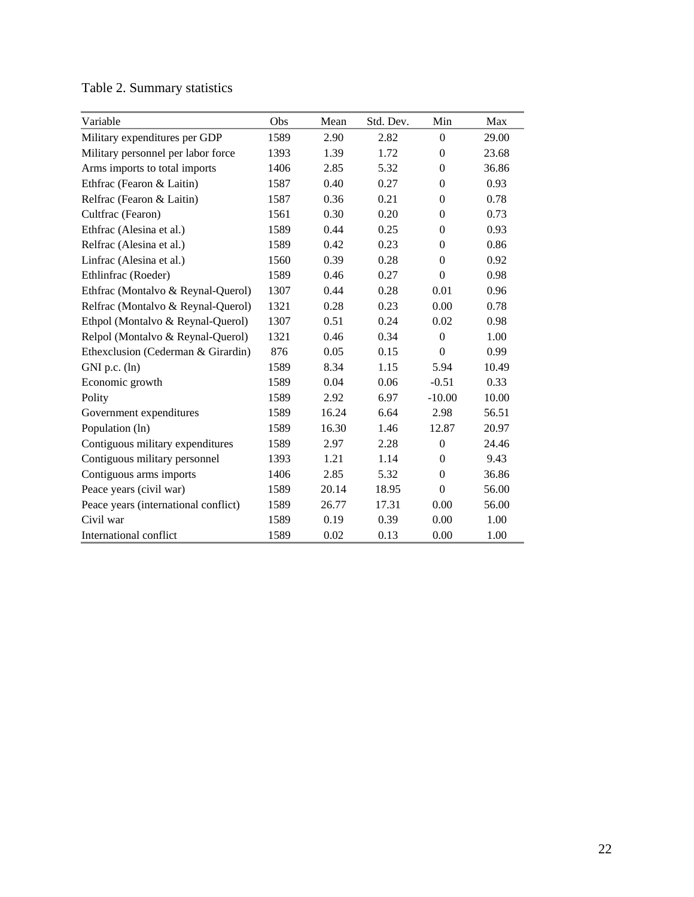| Variable                             | Obs  | Mean  | Std. Dev. | Min              | Max   |
|--------------------------------------|------|-------|-----------|------------------|-------|
| Military expenditures per GDP        | 1589 | 2.90  | 2.82      | $\theta$         | 29.00 |
| Military personnel per labor force   | 1393 | 1.39  | 1.72      | $\theta$         | 23.68 |
| Arms imports to total imports        | 1406 | 2.85  | 5.32      | $\overline{0}$   | 36.86 |
| Ethfrac (Fearon & Laitin)            | 1587 | 0.40  | 0.27      | $\theta$         | 0.93  |
| Relfrac (Fearon & Laitin)            | 1587 | 0.36  | 0.21      | $\theta$         | 0.78  |
| Cultfrac (Fearon)                    | 1561 | 0.30  | 0.20      | $\theta$         | 0.73  |
| Ethfrac (Alesina et al.)             | 1589 | 0.44  | 0.25      | $\overline{0}$   | 0.93  |
| Relfrac (Alesina et al.)             | 1589 | 0.42  | 0.23      | $\overline{0}$   | 0.86  |
| Linfrac (Alesina et al.)             | 1560 | 0.39  | 0.28      | $\theta$         | 0.92  |
| Ethlinfrac (Roeder)                  | 1589 | 0.46  | 0.27      | $\boldsymbol{0}$ | 0.98  |
| Ethfrac (Montalvo & Reynal-Querol)   | 1307 | 0.44  | 0.28      | 0.01             | 0.96  |
| Relfrac (Montalvo & Reynal-Querol)   | 1321 | 0.28  | 0.23      | 0.00             | 0.78  |
| Ethpol (Montalvo & Reynal-Querol)    | 1307 | 0.51  | 0.24      | 0.02             | 0.98  |
| Relpol (Montalvo & Reynal-Querol)    | 1321 | 0.46  | 0.34      | $\Omega$         | 1.00  |
| Ethexclusion (Cederman & Girardin)   | 876  | 0.05  | 0.15      | $\Omega$         | 0.99  |
| $GNI$ p.c. $(ln)$                    | 1589 | 8.34  | 1.15      | 5.94             | 10.49 |
| Economic growth                      | 1589 | 0.04  | 0.06      | $-0.51$          | 0.33  |
| Polity                               | 1589 | 2.92  | 6.97      | $-10.00$         | 10.00 |
| Government expenditures              | 1589 | 16.24 | 6.64      | 2.98             | 56.51 |
| Population (ln)                      | 1589 | 16.30 | 1.46      | 12.87            | 20.97 |
| Contiguous military expenditures     | 1589 | 2.97  | 2.28      | $\boldsymbol{0}$ | 24.46 |
| Contiguous military personnel        | 1393 | 1.21  | 1.14      | $\Omega$         | 9.43  |
| Contiguous arms imports              | 1406 | 2.85  | 5.32      | $\Omega$         | 36.86 |
| Peace years (civil war)              | 1589 | 20.14 | 18.95     | $\Omega$         | 56.00 |
| Peace years (international conflict) | 1589 | 26.77 | 17.31     | 0.00             | 56.00 |
| Civil war                            | 1589 | 0.19  | 0.39      | 0.00             | 1.00  |
| International conflict               | 1589 | 0.02  | 0.13      | 0.00             | 1.00  |

## Table 2. Summary statistics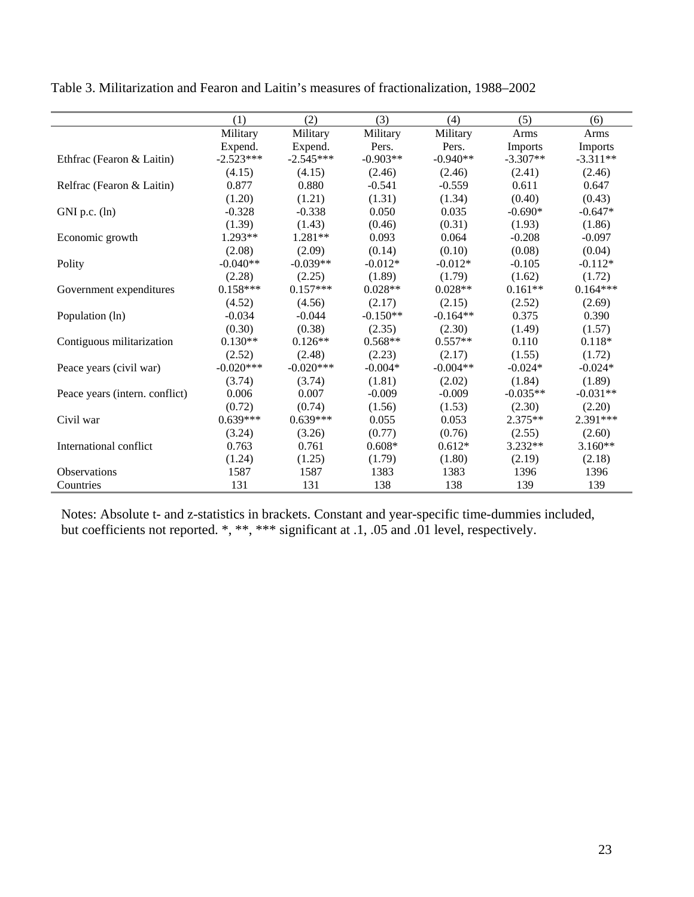|                                | (1)         | (2)         | (3)        | (4)        | (5)            | (6)        |
|--------------------------------|-------------|-------------|------------|------------|----------------|------------|
|                                | Military    | Military    | Military   | Military   | Arms           | Arms       |
|                                | Expend.     | Expend.     | Pers.      | Pers.      | <b>Imports</b> | Imports    |
| Ethfrac (Fearon & Laitin)      | $-2.523***$ | $-2.545***$ | $-0.903**$ | $-0.940**$ | $-3.307**$     | $-3.311**$ |
|                                | (4.15)      | (4.15)      | (2.46)     | (2.46)     | (2.41)         | (2.46)     |
| Relfrac (Fearon & Laitin)      | 0.877       | 0.880       | $-0.541$   | $-0.559$   | 0.611          | 0.647      |
|                                | (1.20)      | (1.21)      | (1.31)     | (1.34)     | (0.40)         | (0.43)     |
| $GNI$ p.c. $(ln)$              | $-0.328$    | $-0.338$    | 0.050      | 0.035      | $-0.690*$      | $-0.647*$  |
|                                | (1.39)      | (1.43)      | (0.46)     | (0.31)     | (1.93)         | (1.86)     |
| Economic growth                | $1.293**$   | $1.281**$   | 0.093      | 0.064      | $-0.208$       | $-0.097$   |
|                                | (2.08)      | (2.09)      | (0.14)     | (0.10)     | (0.08)         | (0.04)     |
| Polity                         | $-0.040**$  | $-0.039**$  | $-0.012*$  | $-0.012*$  | $-0.105$       | $-0.112*$  |
|                                | (2.28)      | (2.25)      | (1.89)     | (1.79)     | (1.62)         | (1.72)     |
| Government expenditures        | $0.158***$  | $0.157***$  | $0.028**$  | $0.028**$  | $0.161**$      | $0.164***$ |
|                                | (4.52)      | (4.56)      | (2.17)     | (2.15)     | (2.52)         | (2.69)     |
| Population (ln)                | $-0.034$    | $-0.044$    | $-0.150**$ | $-0.164**$ | 0.375          | 0.390      |
|                                | (0.30)      | (0.38)      | (2.35)     | (2.30)     | (1.49)         | (1.57)     |
| Contiguous militarization      | $0.130**$   | $0.126**$   | $0.568**$  | $0.557**$  | 0.110          | $0.118*$   |
|                                | (2.52)      | (2.48)      | (2.23)     | (2.17)     | (1.55)         | (1.72)     |
| Peace years (civil war)        | $-0.020***$ | $-0.020***$ | $-0.004*$  | $-0.004**$ | $-0.024*$      | $-0.024*$  |
|                                | (3.74)      | (3.74)      | (1.81)     | (2.02)     | (1.84)         | (1.89)     |
| Peace years (intern. conflict) | 0.006       | 0.007       | $-0.009$   | $-0.009$   | $-0.035**$     | $-0.031**$ |
|                                | (0.72)      | (0.74)      | (1.56)     | (1.53)     | (2.30)         | (2.20)     |
| Civil war                      | $0.639***$  | $0.639***$  | 0.055      | 0.053      | $2.375**$      | $2.391***$ |
|                                | (3.24)      | (3.26)      | (0.77)     | (0.76)     | (2.55)         | (2.60)     |
| International conflict         | 0.763       | 0.761       | $0.608*$   | $0.612*$   | 3.232**        | 3.160**    |
|                                | (1.24)      | (1.25)      | (1.79)     | (1.80)     | (2.19)         | (2.18)     |
| <b>Observations</b>            | 1587        | 1587        | 1383       | 1383       | 1396           | 1396       |
| Countries                      | 131         | 131         | 138        | 138        | 139            | 139        |

Table 3. Militarization and Fearon and Laitin's measures of fractionalization, 1988–2002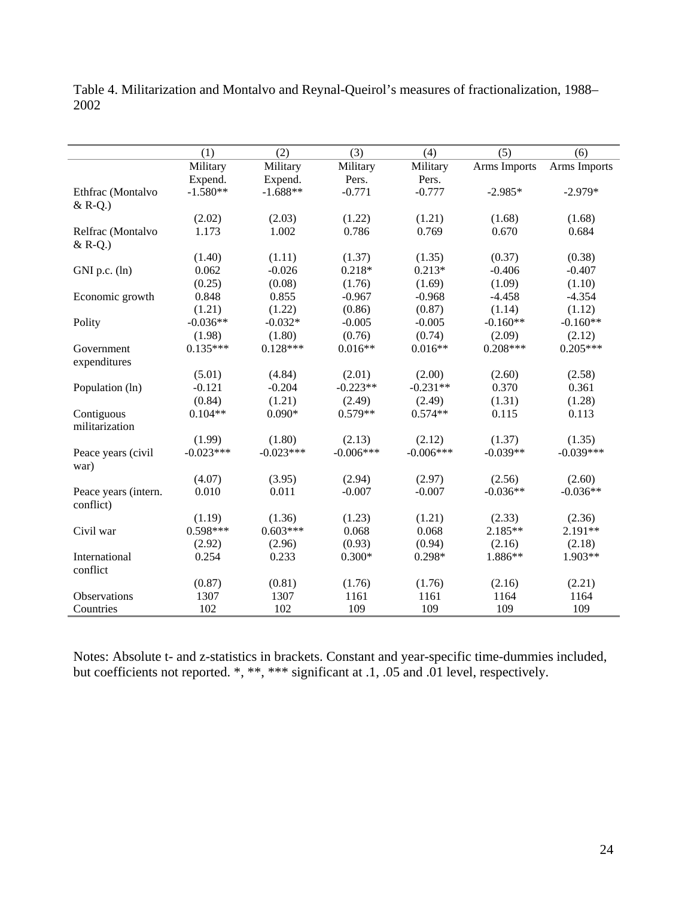|                      | (1)         | (2)         | (3)         | (4)         | (5)          | (6)          |
|----------------------|-------------|-------------|-------------|-------------|--------------|--------------|
|                      | Military    | Military    | Military    | Military    | Arms Imports | Arms Imports |
|                      | Expend.     | Expend.     | Pers.       | Pers.       |              |              |
| Ethfrac (Montalvo    | $-1.580**$  | $-1.688**$  | $-0.771$    | $-0.777$    | $-2.985*$    | $-2.979*$    |
| $&$ R-Q.)            |             |             |             |             |              |              |
|                      | (2.02)      | (2.03)      | (1.22)      | (1.21)      | (1.68)       | (1.68)       |
| Relfrac (Montalvo    | 1.173       | 1.002       | 0.786       | 0.769       | 0.670        | 0.684        |
| $&$ R-Q.)            |             |             |             |             |              |              |
|                      | (1.40)      | (1.11)      | (1.37)      | (1.35)      | (0.37)       | (0.38)       |
| $GNI$ p.c. $(ln)$    | 0.062       | $-0.026$    | $0.218*$    | $0.213*$    | $-0.406$     | $-0.407$     |
|                      | (0.25)      | (0.08)      | (1.76)      | (1.69)      | (1.09)       | (1.10)       |
| Economic growth      | 0.848       | 0.855       | $-0.967$    | $-0.968$    | $-4.458$     | $-4.354$     |
|                      | (1.21)      | (1.22)      | (0.86)      | (0.87)      | (1.14)       | (1.12)       |
| Polity               | $-0.036**$  | $-0.032*$   | $-0.005$    | $-0.005$    | $-0.160**$   | $-0.160**$   |
|                      | (1.98)      | (1.80)      | (0.76)      | (0.74)      | (2.09)       | (2.12)       |
| Government           | $0.135***$  | $0.128***$  | $0.016**$   | $0.016**$   | $0.208***$   | $0.205***$   |
| expenditures         |             |             |             |             |              |              |
|                      | (5.01)      | (4.84)      | (2.01)      | (2.00)      | (2.60)       | (2.58)       |
| Population (ln)      | $-0.121$    | $-0.204$    | $-0.223**$  | $-0.231**$  | 0.370        | 0.361        |
|                      | (0.84)      | (1.21)      | (2.49)      | (2.49)      | (1.31)       | (1.28)       |
| Contiguous           | $0.104**$   | $0.090*$    | $0.579**$   | $0.574**$   | 0.115        | 0.113        |
| militarization       |             |             |             |             |              |              |
|                      | (1.99)      | (1.80)      | (2.13)      | (2.12)      | (1.37)       | (1.35)       |
| Peace years (civil   | $-0.023***$ | $-0.023***$ | $-0.006***$ | $-0.006***$ | $-0.039**$   | $-0.039***$  |
| war)                 |             |             |             |             |              |              |
|                      | (4.07)      | (3.95)      | (2.94)      | (2.97)      | (2.56)       | (2.60)       |
| Peace years (intern. | 0.010       | 0.011       | $-0.007$    | $-0.007$    | $-0.036**$   | $-0.036**$   |
| conflict)            |             |             |             |             |              |              |
|                      | (1.19)      | (1.36)      | (1.23)      | (1.21)      | (2.33)       | (2.36)       |
| Civil war            | $0.598***$  | $0.603***$  | 0.068       | 0.068       | 2.185**      | $2.191**$    |
|                      | (2.92)      | (2.96)      | (0.93)      | (0.94)      | (2.16)       | (2.18)       |
| International        | 0.254       | 0.233       | $0.300*$    | $0.298*$    | 1.886**      | $1.903**$    |
| conflict             |             |             |             |             |              |              |
|                      | (0.87)      | (0.81)      | (1.76)      | (1.76)      | (2.16)       | (2.21)       |
| <b>Observations</b>  | 1307        | 1307        | 1161        | 1161        | 1164         | 1164         |
| Countries            | 102         | 102         | 109         | 109         | 109          | 109          |

Table 4. Militarization and Montalvo and Reynal-Queirol's measures of fractionalization, 1988– 2002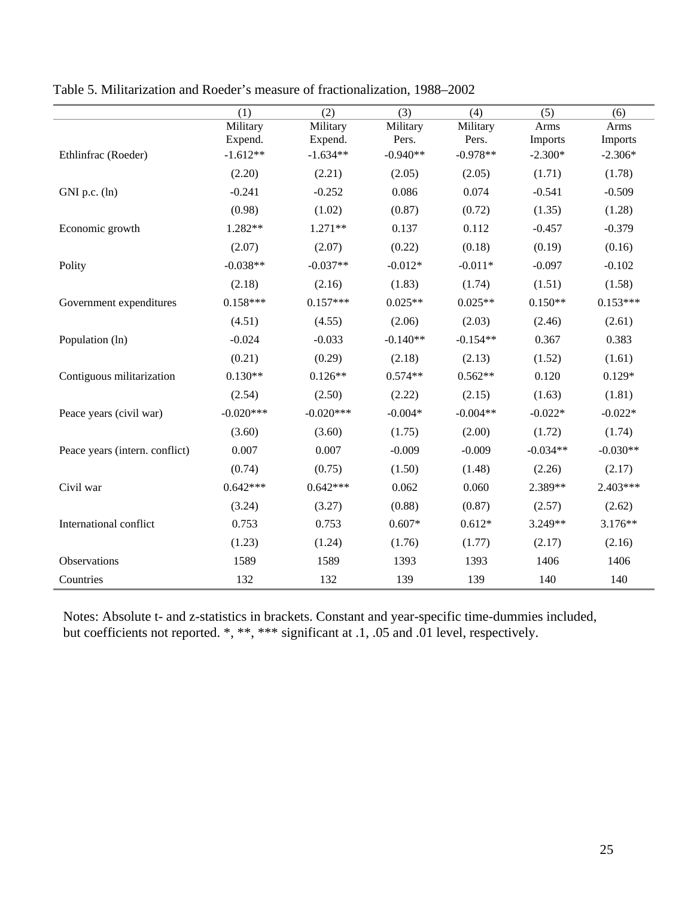|                                | (1)         | (2)         | (3)        | (4)        | (5)        | (6)        |
|--------------------------------|-------------|-------------|------------|------------|------------|------------|
|                                | Military    | Military    | Military   | Military   | Arms       | Arms       |
|                                | Expend.     | Expend.     | Pers.      | Pers.      | Imports    | Imports    |
| Ethlinfrac (Roeder)            | $-1.612**$  | $-1.634**$  | $-0.940**$ | $-0.978**$ | $-2.300*$  | $-2.306*$  |
|                                | (2.20)      | (2.21)      | (2.05)     | (2.05)     | (1.71)     | (1.78)     |
| $GNI$ p.c. $(ln)$              | $-0.241$    | $-0.252$    | 0.086      | 0.074      | $-0.541$   | $-0.509$   |
|                                | (0.98)      | (1.02)      | (0.87)     | (0.72)     | (1.35)     | (1.28)     |
| Economic growth                | 1.282**     | $1.271**$   | 0.137      | 0.112      | $-0.457$   | $-0.379$   |
|                                | (2.07)      | (2.07)      | (0.22)     | (0.18)     | (0.19)     | (0.16)     |
| Polity                         | $-0.038**$  | $-0.037**$  | $-0.012*$  | $-0.011*$  | $-0.097$   | $-0.102$   |
|                                | (2.18)      | (2.16)      | (1.83)     | (1.74)     | (1.51)     | (1.58)     |
| Government expenditures        | $0.158***$  | $0.157***$  | $0.025**$  | $0.025**$  | $0.150**$  | $0.153***$ |
|                                | (4.51)      | (4.55)      | (2.06)     | (2.03)     | (2.46)     | (2.61)     |
| Population (ln)                | $-0.024$    | $-0.033$    | $-0.140**$ | $-0.154**$ | 0.367      | 0.383      |
|                                | (0.21)      | (0.29)      | (2.18)     | (2.13)     | (1.52)     | (1.61)     |
| Contiguous militarization      | $0.130**$   | $0.126**$   | $0.574**$  | $0.562**$  | 0.120      | $0.129*$   |
|                                | (2.54)      | (2.50)      | (2.22)     | (2.15)     | (1.63)     | (1.81)     |
| Peace years (civil war)        | $-0.020***$ | $-0.020***$ | $-0.004*$  | $-0.004**$ | $-0.022*$  | $-0.022*$  |
|                                | (3.60)      | (3.60)      | (1.75)     | (2.00)     | (1.72)     | (1.74)     |
| Peace years (intern. conflict) | 0.007       | 0.007       | $-0.009$   | $-0.009$   | $-0.034**$ | $-0.030**$ |
|                                | (0.74)      | (0.75)      | (1.50)     | (1.48)     | (2.26)     | (2.17)     |
| Civil war                      | $0.642***$  | $0.642***$  | 0.062      | 0.060      | 2.389**    | 2.403***   |
|                                | (3.24)      | (3.27)      | (0.88)     | (0.87)     | (2.57)     | (2.62)     |
| International conflict         | 0.753       | 0.753       | $0.607*$   | $0.612*$   | $3.249**$  | $3.176**$  |
|                                | (1.23)      | (1.24)      | (1.76)     | (1.77)     | (2.17)     | (2.16)     |
| Observations                   | 1589        | 1589        | 1393       | 1393       | 1406       | 1406       |
| Countries                      | 132         | 132         | 139        | 139        | 140        | 140        |

Table 5. Militarization and Roeder's measure of fractionalization, 1988–2002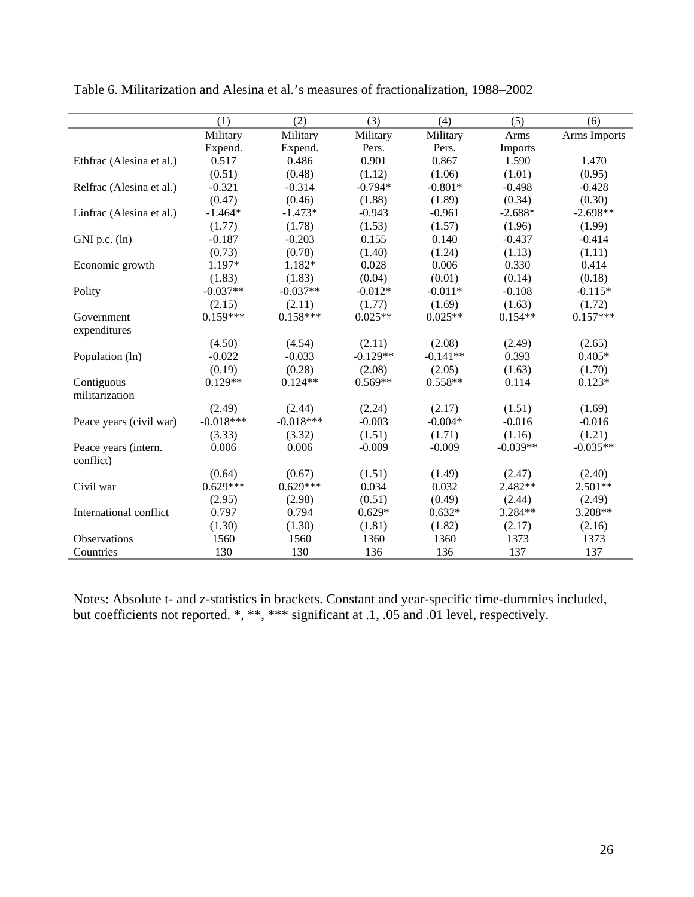|                          | (1)         | (2)         | (3)        | (4)        | (5)        | (6)          |
|--------------------------|-------------|-------------|------------|------------|------------|--------------|
|                          | Military    | Military    | Military   | Military   | Arms       | Arms Imports |
|                          | Expend.     | Expend.     | Pers.      | Pers.      | Imports    |              |
| Ethfrac (Alesina et al.) | 0.517       | 0.486       | 0.901      | 0.867      | 1.590      | 1.470        |
|                          | (0.51)      | (0.48)      | (1.12)     | (1.06)     | (1.01)     | (0.95)       |
| Relfrac (Alesina et al.) | $-0.321$    | $-0.314$    | $-0.794*$  | $-0.801*$  | $-0.498$   | $-0.428$     |
|                          | (0.47)      | (0.46)      | (1.88)     | (1.89)     | (0.34)     | (0.30)       |
| Linfrac (Alesina et al.) | $-1.464*$   | $-1.473*$   | $-0.943$   | $-0.961$   | $-2.688*$  | $-2.698**$   |
|                          | (1.77)      | (1.78)      | (1.53)     | (1.57)     | (1.96)     | (1.99)       |
| GNI p.c. (ln)            | $-0.187$    | $-0.203$    | 0.155      | 0.140      | $-0.437$   | $-0.414$     |
|                          | (0.73)      | (0.78)      | (1.40)     | (1.24)     | (1.13)     | (1.11)       |
| Economic growth          | 1.197*      | 1.182*      | 0.028      | 0.006      | 0.330      | 0.414        |
|                          | (1.83)      | (1.83)      | (0.04)     | (0.01)     | (0.14)     | (0.18)       |
| Polity                   | $-0.037**$  | $-0.037**$  | $-0.012*$  | $-0.011*$  | $-0.108$   | $-0.115*$    |
|                          | (2.15)      | (2.11)      | (1.77)     | (1.69)     | (1.63)     | (1.72)       |
| Government               | $0.159***$  | $0.158***$  | $0.025**$  | $0.025**$  | $0.154**$  | $0.157***$   |
| expenditures             |             |             |            |            |            |              |
|                          | (4.50)      | (4.54)      | (2.11)     | (2.08)     | (2.49)     | (2.65)       |
| Population (ln)          | $-0.022$    | $-0.033$    | $-0.129**$ | $-0.141**$ | 0.393      | $0.405*$     |
|                          | (0.19)      | (0.28)      | (2.08)     | (2.05)     | (1.63)     | (1.70)       |
| Contiguous               | $0.129**$   | $0.124**$   | $0.569**$  | $0.558**$  | 0.114      | $0.123*$     |
| militarization           |             |             |            |            |            |              |
|                          | (2.49)      | (2.44)      | (2.24)     | (2.17)     | (1.51)     | (1.69)       |
| Peace years (civil war)  | $-0.018***$ | $-0.018***$ | $-0.003$   | $-0.004*$  | $-0.016$   | $-0.016$     |
|                          | (3.33)      | (3.32)      | (1.51)     | (1.71)     | (1.16)     | (1.21)       |
| Peace years (intern.     | 0.006       | 0.006       | $-0.009$   | $-0.009$   | $-0.039**$ | $-0.035**$   |
| conflict)                |             |             |            |            |            |              |
|                          | (0.64)      | (0.67)      | (1.51)     | (1.49)     | (2.47)     | (2.40)       |
| Civil war                | $0.629***$  | $0.629***$  | 0.034      | 0.032      | $2.482**$  | $2.501**$    |
|                          | (2.95)      | (2.98)      | (0.51)     | (0.49)     | (2.44)     | (2.49)       |
| International conflict   | 0.797       | 0.794       | $0.629*$   | $0.632*$   | 3.284**    | 3.208**      |
|                          | (1.30)      | (1.30)      | (1.81)     | (1.82)     | (2.17)     | (2.16)       |
| Observations             | 1560        | 1560        | 1360       | 1360       | 1373       | 1373         |
| Countries                | 130         | 130         | 136        | 136        | 137        | 137          |

Table 6. Militarization and Alesina et al.'s measures of fractionalization, 1988–2002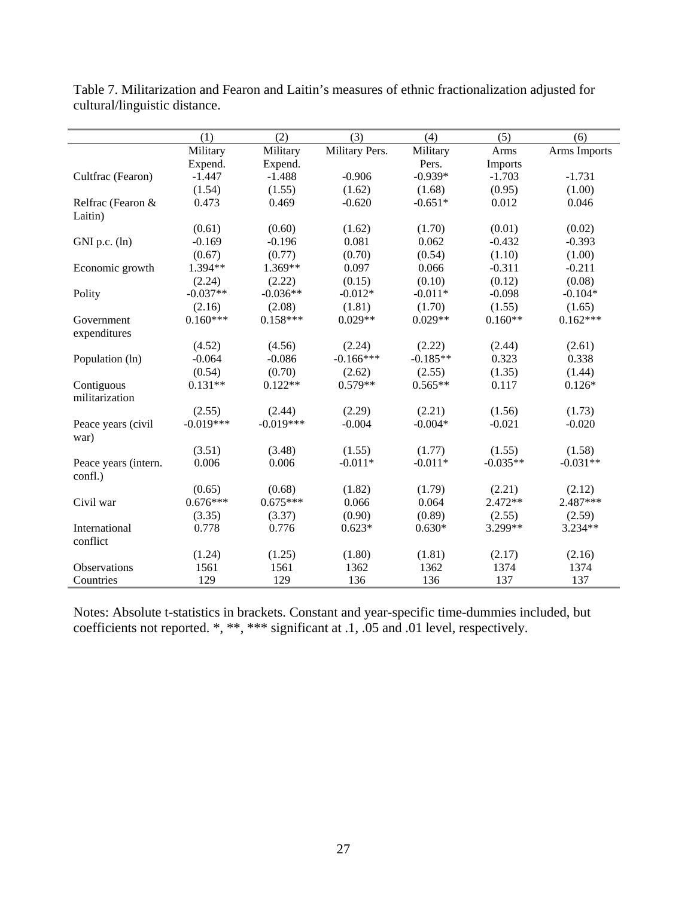|                      | (1)         | (2)         | (3)            | (4)        | (5)        | (6)          |
|----------------------|-------------|-------------|----------------|------------|------------|--------------|
|                      | Military    | Military    | Military Pers. | Military   | Arms       | Arms Imports |
|                      | Expend.     | Expend.     |                | Pers.      | Imports    |              |
| Cultfrac (Fearon)    | $-1.447$    | $-1.488$    | $-0.906$       | $-0.939*$  | $-1.703$   | $-1.731$     |
|                      | (1.54)      | (1.55)      | (1.62)         | (1.68)     | (0.95)     | (1.00)       |
| Relfrac (Fearon &    | 0.473       | 0.469       | $-0.620$       | $-0.651*$  | 0.012      | 0.046        |
| Laitin)              |             |             |                |            |            |              |
|                      | (0.61)      | (0.60)      | (1.62)         | (1.70)     | (0.01)     | (0.02)       |
| $GNI$ p.c. $(ln)$    | $-0.169$    | $-0.196$    | 0.081          | 0.062      | $-0.432$   | $-0.393$     |
|                      | (0.67)      | (0.77)      | (0.70)         | (0.54)     | (1.10)     | (1.00)       |
| Economic growth      | 1.394**     | 1.369**     | 0.097          | 0.066      | $-0.311$   | $-0.211$     |
|                      | (2.24)      | (2.22)      | (0.15)         | (0.10)     | (0.12)     | (0.08)       |
| Polity               | $-0.037**$  | $-0.036**$  | $-0.012*$      | $-0.011*$  | $-0.098$   | $-0.104*$    |
|                      | (2.16)      | (2.08)      | (1.81)         | (1.70)     | (1.55)     | (1.65)       |
| Government           | $0.160***$  | $0.158***$  | $0.029**$      | $0.029**$  | $0.160**$  | $0.162***$   |
| expenditures         |             |             |                |            |            |              |
|                      | (4.52)      | (4.56)      | (2.24)         | (2.22)     | (2.44)     | (2.61)       |
| Population (ln)      | $-0.064$    | $-0.086$    | $-0.166***$    | $-0.185**$ | 0.323      | 0.338        |
|                      | (0.54)      | (0.70)      | (2.62)         | (2.55)     | (1.35)     | (1.44)       |
| Contiguous           | $0.131**$   | $0.122**$   | $0.579**$      | $0.565**$  | 0.117      | $0.126*$     |
| militarization       |             |             |                |            |            |              |
|                      | (2.55)      | (2.44)      | (2.29)         | (2.21)     | (1.56)     | (1.73)       |
| Peace years (civil   | $-0.019***$ | $-0.019***$ | $-0.004$       | $-0.004*$  | $-0.021$   | $-0.020$     |
| war)                 |             |             |                |            |            |              |
|                      | (3.51)      | (3.48)      | (1.55)         | (1.77)     | (1.55)     | (1.58)       |
| Peace years (intern. | 0.006       | 0.006       | $-0.011*$      | $-0.011*$  | $-0.035**$ | $-0.031**$   |
| confl.)              |             |             |                |            |            |              |
|                      | (0.65)      | (0.68)      | (1.82)         | (1.79)     | (2.21)     | (2.12)       |
| Civil war            | $0.676***$  | $0.675***$  | 0.066          | 0.064      | $2.472**$  | 2.487***     |
|                      | (3.35)      | (3.37)      | (0.90)         | (0.89)     | (2.55)     | (2.59)       |
| International        | 0.778       | 0.776       | $0.623*$       | $0.630*$   | 3.299**    | 3.234**      |
| conflict             |             |             |                |            |            |              |
|                      | (1.24)      | (1.25)      | (1.80)         | (1.81)     | (2.17)     | (2.16)       |
| Observations         | 1561        | 1561        | 1362           | 1362       | 1374       | 1374         |
| Countries            | 129         | 129         | 136            | 136        | 137        | 137          |

Table 7. Militarization and Fearon and Laitin's measures of ethnic fractionalization adjusted for cultural/linguistic distance.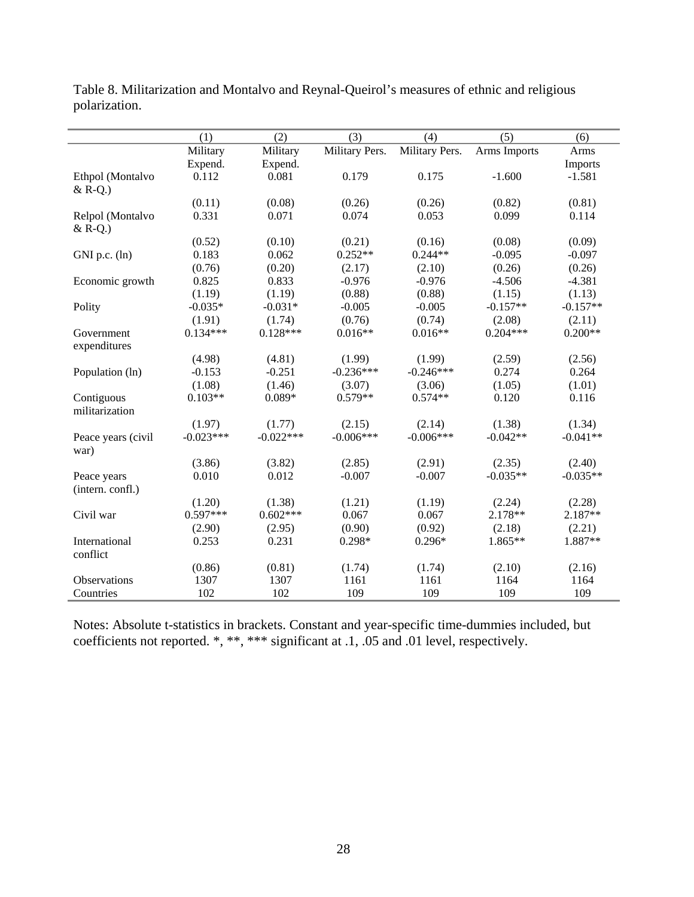|                    | (1)         | (2)         | (3)            | (4)            | (5)          | (6)        |
|--------------------|-------------|-------------|----------------|----------------|--------------|------------|
|                    | Military    | Military    | Military Pers. | Military Pers. | Arms Imports | Arms       |
|                    | Expend.     | Expend.     |                |                |              | Imports    |
| Ethpol (Montalvo   | 0.112       | 0.081       | 0.179          | 0.175          | $-1.600$     | $-1.581$   |
| $&$ R-Q.)          |             |             |                |                |              |            |
|                    | (0.11)      | (0.08)      | (0.26)         | (0.26)         | (0.82)       | (0.81)     |
| Relpol (Montalvo   | 0.331       | 0.071       | 0.074          | 0.053          | 0.099        | 0.114      |
| $&$ R-Q.)          |             |             |                |                |              |            |
|                    | (0.52)      | (0.10)      | (0.21)         | (0.16)         | (0.08)       | (0.09)     |
| GNI p.c. (ln)      | 0.183       | 0.062       | $0.252**$      | $0.244**$      | $-0.095$     | $-0.097$   |
|                    | (0.76)      | (0.20)      | (2.17)         | (2.10)         | (0.26)       | (0.26)     |
| Economic growth    | 0.825       | 0.833       | $-0.976$       | $-0.976$       | $-4.506$     | $-4.381$   |
|                    | (1.19)      | (1.19)      | (0.88)         | (0.88)         | (1.15)       | (1.13)     |
| Polity             | $-0.035*$   | $-0.031*$   | $-0.005$       | $-0.005$       | $-0.157**$   | $-0.157**$ |
|                    | (1.91)      | (1.74)      | (0.76)         | (0.74)         | (2.08)       | (2.11)     |
| Government         | $0.134***$  | $0.128***$  | $0.016**$      | $0.016**$      | $0.204***$   | $0.200**$  |
| expenditures       |             |             |                |                |              |            |
|                    | (4.98)      | (4.81)      | (1.99)         | (1.99)         | (2.59)       | (2.56)     |
| Population (ln)    | $-0.153$    | $-0.251$    | $-0.236***$    | $-0.246***$    | 0.274        | 0.264      |
|                    | (1.08)      | (1.46)      | (3.07)         | (3.06)         | (1.05)       | (1.01)     |
| Contiguous         | $0.103**$   | $0.089*$    | $0.579**$      | $0.574**$      | 0.120        | 0.116      |
| militarization     |             |             |                |                |              |            |
|                    | (1.97)      | (1.77)      | (2.15)         | (2.14)         | (1.38)       | (1.34)     |
| Peace years (civil | $-0.023***$ | $-0.022***$ | $-0.006***$    | $-0.006***$    | $-0.042**$   | $-0.041**$ |
| war)               |             |             |                |                |              |            |
|                    | (3.86)      | (3.82)      | (2.85)         | (2.91)         | (2.35)       | (2.40)     |
| Peace years        | 0.010       | 0.012       | $-0.007$       | $-0.007$       | $-0.035**$   | $-0.035**$ |
| (intern. confl.)   |             |             |                |                |              |            |
|                    | (1.20)      | (1.38)      | (1.21)         | (1.19)         | (2.24)       | (2.28)     |
| Civil war          | $0.597***$  | $0.602***$  | 0.067          | 0.067          | 2.178**      | 2.187**    |
|                    | (2.90)      | (2.95)      | (0.90)         | (0.92)         | (2.18)       | (2.21)     |
| International      | 0.253       | 0.231       | $0.298*$       | $0.296*$       | 1.865**      | 1.887**    |
| conflict           |             |             |                |                |              |            |
|                    | (0.86)      | (0.81)      | (1.74)         | (1.74)         | (2.10)       | (2.16)     |
| Observations       | 1307        | 1307        | 1161           | 1161           | 1164         | 1164       |
| Countries          | 102         | 102         | 109            | 109            | 109          | 109        |

Table 8. Militarization and Montalvo and Reynal-Queirol's measures of ethnic and religious polarization.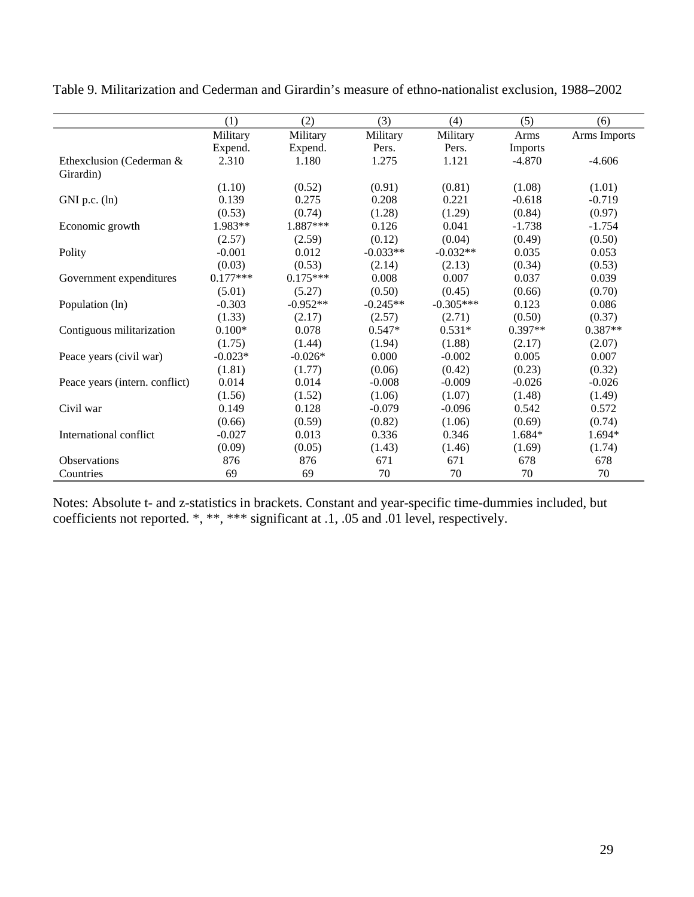|                                | (1)        | (2)        | (3)        | (4)         | (5)       | (6)          |
|--------------------------------|------------|------------|------------|-------------|-----------|--------------|
|                                | Military   | Military   | Military   | Military    | Arms      | Arms Imports |
|                                | Expend.    | Expend.    | Pers.      | Pers.       | Imports   |              |
| Ethexclusion (Cederman &       | 2.310      | 1.180      | 1.275      | 1.121       | $-4.870$  | $-4.606$     |
| Girardin)                      |            |            |            |             |           |              |
|                                | (1.10)     | (0.52)     | (0.91)     | (0.81)      | (1.08)    | (1.01)       |
| GNI p.c. $(ln)$                | 0.139      | 0.275      | 0.208      | 0.221       | $-0.618$  | $-0.719$     |
|                                | (0.53)     | (0.74)     | (1.28)     | (1.29)      | (0.84)    | (0.97)       |
| Economic growth                | 1.983**    | 1.887***   | 0.126      | 0.041       | $-1.738$  | $-1.754$     |
|                                | (2.57)     | (2.59)     | (0.12)     | (0.04)      | (0.49)    | (0.50)       |
| Polity                         | $-0.001$   | 0.012      | $-0.033**$ | $-0.032**$  | 0.035     | 0.053        |
|                                | (0.03)     | (0.53)     | (2.14)     | (2.13)      | (0.34)    | (0.53)       |
| Government expenditures        | $0.177***$ | $0.175***$ | 0.008      | 0.007       | 0.037     | 0.039        |
|                                | (5.01)     | (5.27)     | (0.50)     | (0.45)      | (0.66)    | (0.70)       |
| Population (ln)                | $-0.303$   | $-0.952**$ | $-0.245**$ | $-0.305***$ | 0.123     | 0.086        |
|                                | (1.33)     | (2.17)     | (2.57)     | (2.71)      | (0.50)    | (0.37)       |
| Contiguous militarization      | $0.100*$   | 0.078      | $0.547*$   | $0.531*$    | $0.397**$ | $0.387**$    |
|                                | (1.75)     | (1.44)     | (1.94)     | (1.88)      | (2.17)    | (2.07)       |
| Peace years (civil war)        | $-0.023*$  | $-0.026*$  | 0.000      | $-0.002$    | 0.005     | 0.007        |
|                                | (1.81)     | (1.77)     | (0.06)     | (0.42)      | (0.23)    | (0.32)       |
| Peace years (intern. conflict) | 0.014      | 0.014      | $-0.008$   | $-0.009$    | $-0.026$  | $-0.026$     |
|                                | (1.56)     | (1.52)     | (1.06)     | (1.07)      | (1.48)    | (1.49)       |
| Civil war                      | 0.149      | 0.128      | $-0.079$   | $-0.096$    | 0.542     | 0.572        |
|                                | (0.66)     | (0.59)     | (0.82)     | (1.06)      | (0.69)    | (0.74)       |
| International conflict         | $-0.027$   | 0.013      | 0.336      | 0.346       | 1.684*    | 1.694*       |
|                                | (0.09)     | (0.05)     | (1.43)     | (1.46)      | (1.69)    | (1.74)       |
| Observations                   | 876        | 876        | 671        | 671         | 678       | 678          |
| Countries                      | 69         | 69         | 70         | 70          | 70        | 70           |

Table 9. Militarization and Cederman and Girardin's measure of ethno-nationalist exclusion, 1988–2002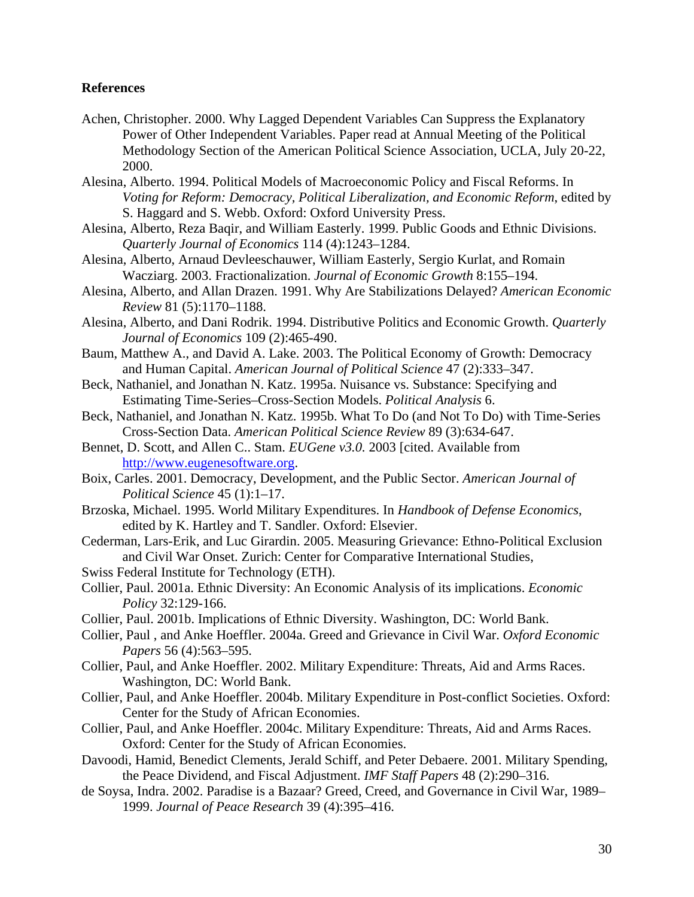### **References**

- Achen, Christopher. 2000. Why Lagged Dependent Variables Can Suppress the Explanatory Power of Other Independent Variables. Paper read at Annual Meeting of the Political Methodology Section of the American Political Science Association, UCLA, July 20-22, 2000.
- Alesina, Alberto. 1994. Political Models of Macroeconomic Policy and Fiscal Reforms. In *Voting for Reform: Democracy, Political Liberalization, and Economic Reform*, edited by S. Haggard and S. Webb. Oxford: Oxford University Press.
- Alesina, Alberto, Reza Baqir, and William Easterly. 1999. Public Goods and Ethnic Divisions. *Quarterly Journal of Economics* 114 (4):1243–1284.
- Alesina, Alberto, Arnaud Devleeschauwer, William Easterly, Sergio Kurlat, and Romain Wacziarg. 2003. Fractionalization. *Journal of Economic Growth* 8:155–194.
- Alesina, Alberto, and Allan Drazen. 1991. Why Are Stabilizations Delayed? *American Economic Review* 81 (5):1170–1188.
- Alesina, Alberto, and Dani Rodrik. 1994. Distributive Politics and Economic Growth. *Quarterly Journal of Economics* 109 (2):465-490.
- Baum, Matthew A., and David A. Lake. 2003. The Political Economy of Growth: Democracy and Human Capital. *American Journal of Political Science* 47 (2):333–347.
- Beck, Nathaniel, and Jonathan N. Katz. 1995a. Nuisance vs. Substance: Specifying and Estimating Time-Series–Cross-Section Models. *Political Analysis* 6.
- Beck, Nathaniel, and Jonathan N. Katz. 1995b. What To Do (and Not To Do) with Time-Series Cross-Section Data. *American Political Science Review* 89 (3):634-647.
- Bennet, D. Scott, and Allen C.. Stam. *EUGene v3.0.* 2003 [cited. Available from http://www.eugenesoftware.org.
- Boix, Carles. 2001. Democracy, Development, and the Public Sector. *American Journal of Political Science* 45 (1):1–17.
- Brzoska, Michael. 1995. World Military Expenditures. In *Handbook of Defense Economics*, edited by K. Hartley and T. Sandler. Oxford: Elsevier.
- Cederman, Lars-Erik, and Luc Girardin. 2005. Measuring Grievance: Ethno-Political Exclusion and Civil War Onset. Zurich: Center for Comparative International Studies,
- Swiss Federal Institute for Technology (ETH).
- Collier, Paul. 2001a. Ethnic Diversity: An Economic Analysis of its implications. *Economic Policy* 32:129-166.
- Collier, Paul. 2001b. Implications of Ethnic Diversity. Washington, DC: World Bank.
- Collier, Paul , and Anke Hoeffler. 2004a. Greed and Grievance in Civil War. *Oxford Economic Papers* 56 (4):563–595.
- Collier, Paul, and Anke Hoeffler. 2002. Military Expenditure: Threats, Aid and Arms Races. Washington, DC: World Bank.
- Collier, Paul, and Anke Hoeffler. 2004b. Military Expenditure in Post-conflict Societies. Oxford: Center for the Study of African Economies.
- Collier, Paul, and Anke Hoeffler. 2004c. Military Expenditure: Threats, Aid and Arms Races. Oxford: Center for the Study of African Economies.
- Davoodi, Hamid, Benedict Clements, Jerald Schiff, and Peter Debaere. 2001. Military Spending, the Peace Dividend, and Fiscal Adjustment. *IMF Staff Papers* 48 (2):290–316.
- de Soysa, Indra. 2002. Paradise is a Bazaar? Greed, Creed, and Governance in Civil War, 1989– 1999. *Journal of Peace Research* 39 (4):395–416.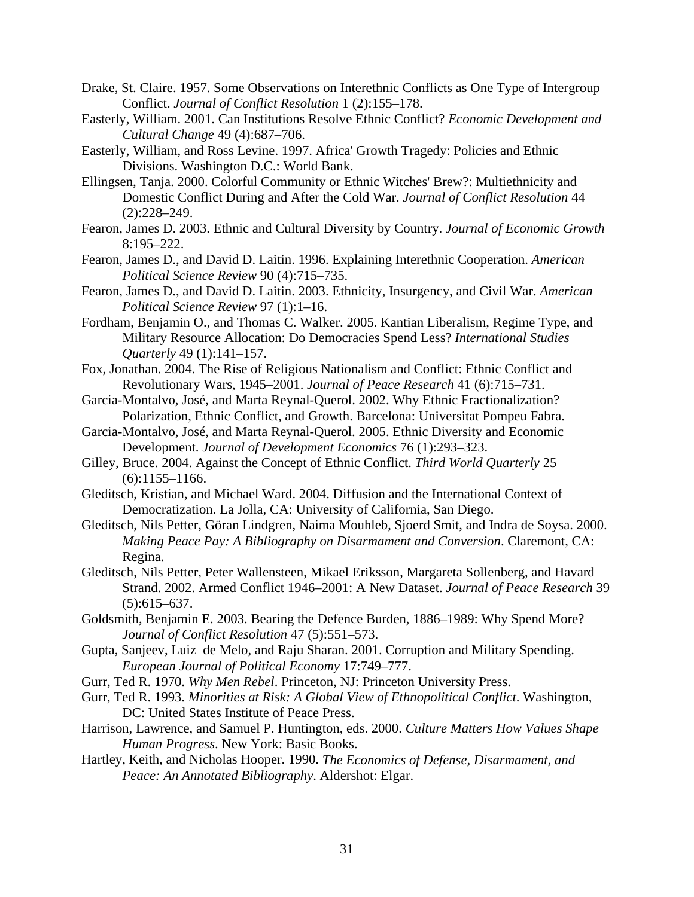- Drake, St. Claire. 1957. Some Observations on Interethnic Conflicts as One Type of Intergroup Conflict. *Journal of Conflict Resolution* 1 (2):155–178.
- Easterly, William. 2001. Can Institutions Resolve Ethnic Conflict? *Economic Development and Cultural Change* 49 (4):687–706.
- Easterly, William, and Ross Levine. 1997. Africa' Growth Tragedy: Policies and Ethnic Divisions. Washington D.C.: World Bank.
- Ellingsen, Tanja. 2000. Colorful Community or Ethnic Witches' Brew?: Multiethnicity and Domestic Conflict During and After the Cold War. *Journal of Conflict Resolution* 44 (2):228–249.
- Fearon, James D. 2003. Ethnic and Cultural Diversity by Country. *Journal of Economic Growth* 8:195–222.
- Fearon, James D., and David D. Laitin. 1996. Explaining Interethnic Cooperation. *American Political Science Review* 90 (4):715–735.
- Fearon, James D., and David D. Laitin. 2003. Ethnicity, Insurgency, and Civil War. *American Political Science Review* 97 (1):1–16.
- Fordham, Benjamin O., and Thomas C. Walker. 2005. Kantian Liberalism, Regime Type, and Military Resource Allocation: Do Democracies Spend Less? *International Studies Quarterly* 49 (1):141–157.
- Fox, Jonathan. 2004. The Rise of Religious Nationalism and Conflict: Ethnic Conflict and Revolutionary Wars, 1945–2001. *Journal of Peace Research* 41 (6):715–731.
- Garcia-Montalvo, José, and Marta Reynal-Querol. 2002. Why Ethnic Fractionalization? Polarization, Ethnic Conflict, and Growth. Barcelona: Universitat Pompeu Fabra.
- Garcia-Montalvo, José, and Marta Reynal-Querol. 2005. Ethnic Diversity and Economic Development. *Journal of Development Economics* 76 (1):293–323.
- Gilley, Bruce. 2004. Against the Concept of Ethnic Conflict. *Third World Quarterly* 25  $(6):1155-1166.$
- Gleditsch, Kristian, and Michael Ward. 2004. Diffusion and the International Context of Democratization. La Jolla, CA: University of California, San Diego.
- Gleditsch, Nils Petter, Göran Lindgren, Naima Mouhleb, Sjoerd Smit, and Indra de Soysa. 2000. *Making Peace Pay: A Bibliography on Disarmament and Conversion*. Claremont, CA: Regina.
- Gleditsch, Nils Petter, Peter Wallensteen, Mikael Eriksson, Margareta Sollenberg, and Havard Strand. 2002. Armed Conflict 1946–2001: A New Dataset. *Journal of Peace Research* 39  $(5):615-637.$
- Goldsmith, Benjamin E. 2003. Bearing the Defence Burden, 1886–1989: Why Spend More? *Journal of Conflict Resolution* 47 (5):551–573.
- Gupta, Sanjeev, Luiz de Melo, and Raju Sharan. 2001. Corruption and Military Spending. *European Journal of Political Economy* 17:749–777.
- Gurr, Ted R. 1970. *Why Men Rebel*. Princeton, NJ: Princeton University Press.
- Gurr, Ted R. 1993. *Minorities at Risk: A Global View of Ethnopolitical Conflict*. Washington, DC: United States Institute of Peace Press.
- Harrison, Lawrence, and Samuel P. Huntington, eds. 2000. *Culture Matters How Values Shape Human Progress*. New York: Basic Books.
- Hartley, Keith, and Nicholas Hooper. 1990. *The Economics of Defense, Disarmament, and Peace: An Annotated Bibliography*. Aldershot: Elgar.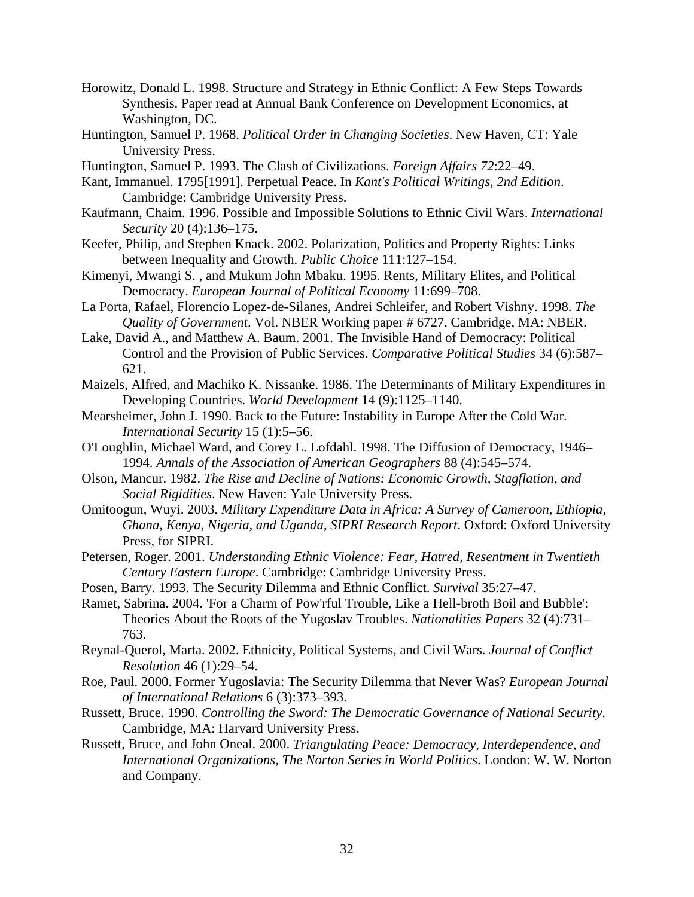- Horowitz, Donald L. 1998. Structure and Strategy in Ethnic Conflict: A Few Steps Towards Synthesis. Paper read at Annual Bank Conference on Development Economics, at Washington, DC.
- Huntington, Samuel P. 1968. *Political Order in Changing Societies*. New Haven, CT: Yale University Press.
- Huntington, Samuel P. 1993. The Clash of Civilizations. *Foreign Affairs 72*:22–49.
- Kant, Immanuel. 1795[1991]. Perpetual Peace. In *Kant's Political Writings, 2nd Edition*. Cambridge: Cambridge University Press.
- Kaufmann, Chaim. 1996. Possible and Impossible Solutions to Ethnic Civil Wars. *International Security* 20 (4):136–175.
- Keefer, Philip, and Stephen Knack. 2002. Polarization, Politics and Property Rights: Links between Inequality and Growth. *Public Choice* 111:127–154.
- Kimenyi, Mwangi S. , and Mukum John Mbaku. 1995. Rents, Military Elites, and Political Democracy. *European Journal of Political Economy* 11:699–708.
- La Porta, Rafael, Florencio Lopez-de-Silanes, Andrei Schleifer, and Robert Vishny. 1998. *The Quality of Government*. Vol. NBER Working paper # 6727. Cambridge, MA: NBER.
- Lake, David A., and Matthew A. Baum. 2001. The Invisible Hand of Democracy: Political Control and the Provision of Public Services. *Comparative Political Studies* 34 (6):587– 621.
- Maizels, Alfred, and Machiko K. Nissanke. 1986. The Determinants of Military Expenditures in Developing Countries. *World Development* 14 (9):1125–1140.
- Mearsheimer, John J. 1990. Back to the Future: Instability in Europe After the Cold War. *International Security* 15 (1):5–56.
- O'Loughlin, Michael Ward, and Corey L. Lofdahl. 1998. The Diffusion of Democracy, 1946– 1994. *Annals of the Association of American Geographers* 88 (4):545–574.
- Olson, Mancur. 1982. *The Rise and Decline of Nations: Economic Growth, Stagflation, and Social Rigidities*. New Haven: Yale University Press.
- Omitoogun, Wuyi. 2003. *Military Expenditure Data in Africa: A Survey of Cameroon, Ethiopia, Ghana, Kenya, Nigeria, and Uganda*, *SIPRI Research Report*. Oxford: Oxford University Press, for SIPRI.
- Petersen, Roger. 2001. *Understanding Ethnic Violence: Fear, Hatred, Resentment in Twentieth Century Eastern Europe*. Cambridge: Cambridge University Press.
- Posen, Barry. 1993. The Security Dilemma and Ethnic Conflict. *Survival* 35:27–47.
- Ramet, Sabrina. 2004. 'For a Charm of Pow'rful Trouble, Like a Hell-broth Boil and Bubble': Theories About the Roots of the Yugoslav Troubles. *Nationalities Papers* 32 (4):731– 763.
- Reynal-Querol, Marta. 2002. Ethnicity, Political Systems, and Civil Wars. *Journal of Conflict Resolution* 46 (1):29–54.
- Roe, Paul. 2000. Former Yugoslavia: The Security Dilemma that Never Was? *European Journal of International Relations* 6 (3):373–393.
- Russett, Bruce. 1990. *Controlling the Sword: The Democratic Governance of National Security*. Cambridge, MA: Harvard University Press.
- Russett, Bruce, and John Oneal. 2000. *Triangulating Peace: Democracy, Interdependence, and International Organizations*, *The Norton Series in World Politics*. London: W. W. Norton and Company.